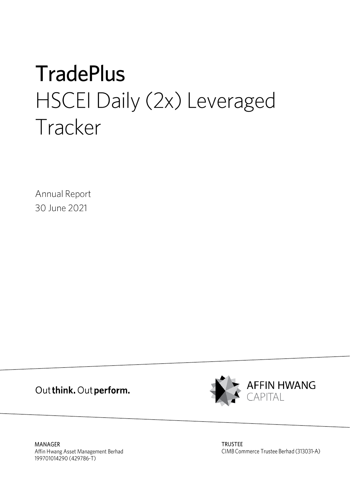# **TradePlus** HSCEI Daily (2x) Leveraged Tracker

Annual Report 30 June 2021

Out think. Out perform.



MANAGER Affin Hwang Asset Management Berhad 199701014290 (429786-T)

**TRUSTEE** CIMB Commerce Trustee Berhad (313031-A)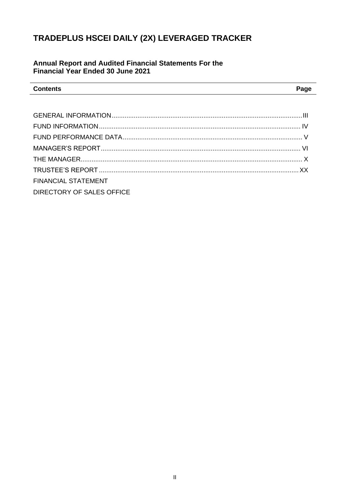## Annual Report and Audited Financial Statements For the Financial Year Ended 30 June 2021

| <b>Contents</b> | $P$ ade |
|-----------------|---------|
|                 |         |

| <b>FINANCIAL STATEMENT</b> |  |
|----------------------------|--|
| DIRECTORY OF SALES OFFICE  |  |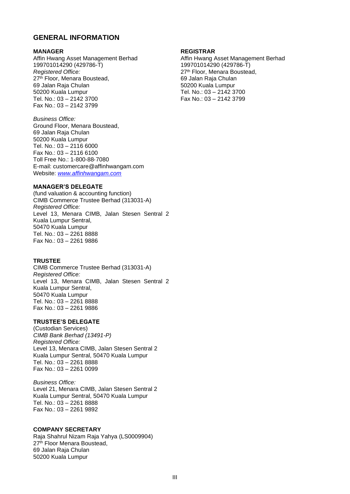## <span id="page-2-0"></span>**GENERAL INFORMATION**

#### **MANAGER**

Affin Hwang Asset Management Berhad 199701014290 (429786-T) *Registered Office:* 27<sup>th</sup> Floor, Menara Boustead, 69 Jalan Raja Chulan 50200 Kuala Lumpur Tel. No.: 03 – 2142 3700 Fax No.: 03 – 2142 3799

#### *Business Office:*

Ground Floor, Menara Boustead, 69 Jalan Raja Chulan 50200 Kuala Lumpur Tel. No.: 03 – 2116 6000 Fax No.: 03 – 2116 6100 Toll Free No.: 1‐800‐88‐7080 E-mail: customercare@affinhwangam.com Website: *[www.affinhwangam.com](http://www.affinhwangam.com/)*

#### **MANAGER'S DELEGATE**

(fund valuation & accounting function) CIMB Commerce Trustee Berhad (313031-A) *Registered Office:* Level 13, Menara CIMB, Jalan Stesen Sentral 2 Kuala Lumpur Sentral, 50470 Kuala Lumpur Tel. No.: 03 – 2261 8888 Fax No.: 03 – 2261 9886

#### **TRUSTEE**

CIMB Commerce Trustee Berhad (313031-A) *Registered Office:* Level 13, Menara CIMB, Jalan Stesen Sentral 2 Kuala Lumpur Sentral, 50470 Kuala Lumpur Tel. No.: 03 – 2261 8888 Fax No.: 03 – 2261 9886

### **TRUSTEE'S DELEGATE**

(Custodian Services) *CIMB Bank Berhad (13491-P) Registered Office:* Level 13, Menara CIMB, Jalan Stesen Sentral 2 Kuala Lumpur Sentral, 50470 Kuala Lumpur Tel. No.: 03 – 2261 8888 Fax No.: 03 – 2261 0099

*Business Office:* Level 21, Menara CIMB, Jalan Stesen Sentral 2 Kuala Lumpur Sentral, 50470 Kuala Lumpur Tel. No.: 03 – 2261 8888 Fax No.: 03 – 2261 9892

#### **COMPANY SECRETARY**

Raja Shahrul Nizam Raja Yahya (LS0009904) 27<sup>th</sup> Floor Menara Boustead, 69 Jalan Raja Chulan 50200 Kuala Lumpur

#### **REGISTRAR**

Affin Hwang Asset Management Berhad 199701014290 (429786-T) 27<sup>th</sup> Floor, Menara Boustead, 69 Jalan Raja Chulan 50200 Kuala Lumpur Tel. No.: 03 – 2142 3700 Fax No.: 03 – 2142 3799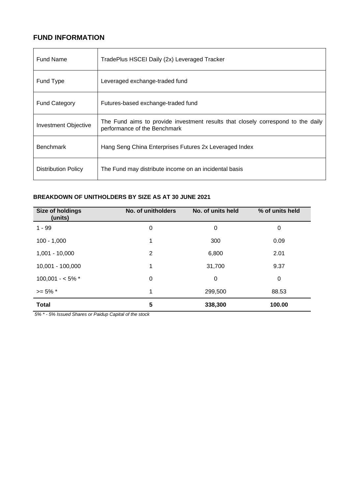## <span id="page-3-0"></span>**FUND INFORMATION**

| <b>Fund Name</b>            | TradePlus HSCEI Daily (2x) Leveraged Tracker                                                                     |
|-----------------------------|------------------------------------------------------------------------------------------------------------------|
| Fund Type                   | Leveraged exchange-traded fund                                                                                   |
| <b>Fund Category</b>        | Futures-based exchange-traded fund                                                                               |
| <b>Investment Objective</b> | The Fund aims to provide investment results that closely correspond to the daily<br>performance of the Benchmark |
| <b>Benchmark</b>            | Hang Seng China Enterprises Futures 2x Leveraged Index                                                           |
| <b>Distribution Policy</b>  | The Fund may distribute income on an incidental basis                                                            |

## **BREAKDOWN OF UNITHOLDERS BY SIZE AS AT 30 JUNE 2021**

| Size of holdings<br>(units) | No. of unitholders | No. of units held | % of units held |
|-----------------------------|--------------------|-------------------|-----------------|
| $1 - 99$                    | 0                  | 0                 | 0               |
| $100 - 1,000$               | 1                  | 300               | 0.09            |
| $1,001 - 10,000$            | 2                  | 6,800             | 2.01            |
| 10,001 - 100,000            | 1                  | 31,700            | 9.37            |
| $100,001 - 5\%$ *           | 0                  | 0                 | 0               |
| $>= 5\%$ *                  | 1                  | 299,500           | 88.53           |
| <b>Total</b>                | 5                  | 338,300           | 100.00          |

*5% \* - 5% Issued Shares or Paidup Capital of the stock*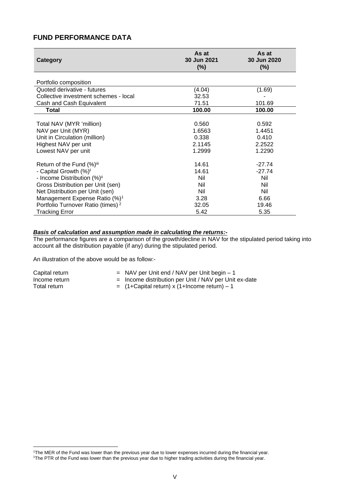## <span id="page-4-0"></span>**FUND PERFORMANCE DATA**

| Category                                      | As at<br>30 Jun 2021<br>$(\%)$ | As at<br>30 Jun 2020<br>$(\%)$ |
|-----------------------------------------------|--------------------------------|--------------------------------|
| Portfolio composition                         |                                |                                |
| Quoted derivative - futures                   | (4.04)                         | (1.69)                         |
| Collective investment schemes - local         | 32.53                          |                                |
| Cash and Cash Equivalent                      | 71.51                          | 101.69                         |
| <b>Total</b>                                  | 100.00                         | 100.00                         |
|                                               |                                |                                |
| Total NAV (MYR 'million)                      | 0.560                          | 0.592                          |
| NAV per Unit (MYR)                            | 1.6563                         | 1.4451                         |
| Unit in Circulation (million)                 | 0.338                          | 0.410                          |
| Highest NAV per unit                          | 2.1145                         | 2.2522                         |
| Lowest NAV per unit                           | 1.2999                         | 1.2290                         |
| Return of the Fund (%)iii                     | 14.61                          | $-27.74$                       |
| - Capital Growth (%) <sup>i</sup>             | 14.61                          | $-27.74$                       |
| - Income Distribution (%) <sup>ii</sup>       | Nil                            | Nil                            |
| Gross Distribution per Unit (sen)             | Nil                            | Nil                            |
| Net Distribution per Unit (sen)               | Nil                            | Nil                            |
| Management Expense Ratio (%) <sup>1</sup>     | 3.28                           | 6.66                           |
| Portfolio Turnover Ratio (times) <sup>2</sup> | 32.05                          | 19.46                          |
| <b>Tracking Error</b>                         | 5.42                           | 5.35                           |

#### *Basis of calculation and assumption made in calculating the returns:-*

The performance figures are a comparison of the growth/decline in NAV for the stipulated period taking into account all the distribution payable (if any) during the stipulated period.

An illustration of the above would be as follow:-

| Capital return | $=$ NAV per Unit end / NAV per Unit begin $-1$          |
|----------------|---------------------------------------------------------|
| Income return  | $=$ Income distribution per Unit / NAV per Unit ex-date |
| Total return   | $=$ (1+Capital return) x (1+Income return) – 1          |

<sup>1</sup>The MER of the Fund was lower than the previous year due to lower expenses incurred during the financial year. <sup>1</sup>The PTR of the Fund was lower than the previous year due to higher trading activities during the financial year.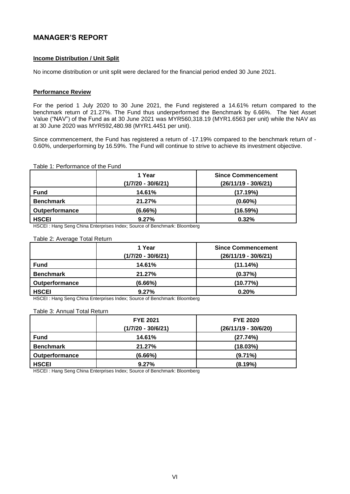## <span id="page-5-0"></span>**MANAGER'S REPORT**

#### **Income Distribution / Unit Split**

No income distribution or unit split were declared for the financial period ended 30 June 2021.

#### **Performance Review**

For the period 1 July 2020 to 30 June 2021, the Fund registered a 14.61% return compared to the benchmark return of 21.27%. The Fund thus underperformed the Benchmark by 6.66%. The Net Asset Value ("NAV") of the Fund as at 30 June 2021 was MYR560,318.19 (MYR1.6563 per unit) while the NAV as at 30 June 2020 was MYR592,480.98 (MYR1.4451 per unit).

Since commencement, the Fund has registered a return of -17.19% compared to the benchmark return of - 0.60%, underperforming by 16.59%. The Fund will continue to strive to achieve its investment objective.

#### Table 1: Performance of the Fund

|                       | 1 Year<br>$(1/7/20 - 30/6/21)$ | <b>Since Commencement</b><br>$(26/11/19 - 30/6/21)$ |
|-----------------------|--------------------------------|-----------------------------------------------------|
| <b>Fund</b>           | 14.61%                         | (17.19%)                                            |
| <b>Benchmark</b>      | 21.27%                         | $(0.60\%)$                                          |
| <b>Outperformance</b> | (6.66%)                        | (16.59%)                                            |
| <b>HSCEI</b>          | 9.27%                          | 0.32%                                               |

HSCEI : Hang Seng China Enterprises Index; Source of Benchmark: Bloomberg

#### Table 2: Average Total Return

|                       | 1 Year               | <b>Since Commencement</b> |
|-----------------------|----------------------|---------------------------|
|                       | $(1/7/20 - 30/6/21)$ | $(26/11/19 - 30/6/21)$    |
| <b>Fund</b>           | 14.61%               | (11.14%)                  |
| <b>Benchmark</b>      | 21.27%               | (0.37%)                   |
| <b>Outperformance</b> | (6.66%)              | (10.77%)                  |
| <b>HSCEI</b>          | 9.27%                | 0.20%                     |

HSCEI : Hang Seng China Enterprises Index; Source of Benchmark: Bloomberg

#### Table 3: Annual Total Return

|                       | <b>FYE 2021</b><br>$(1/7/20 - 30/6/21)$ | <b>FYE 2020</b><br>$(26/11/19 - 30/6/20)$ |
|-----------------------|-----------------------------------------|-------------------------------------------|
|                       |                                         |                                           |
| <b>Fund</b>           | 14.61%                                  | (27.74%)                                  |
| <b>Benchmark</b>      | 21.27%                                  | (18.03%)                                  |
| <b>Outperformance</b> | (6.66%)                                 | $(9.71\%)$                                |
| <b>HSCEI</b>          | 9.27%                                   | (8.19%)                                   |

HSCEI : Hang Seng China Enterprises Index; Source of Benchmark: Bloomberg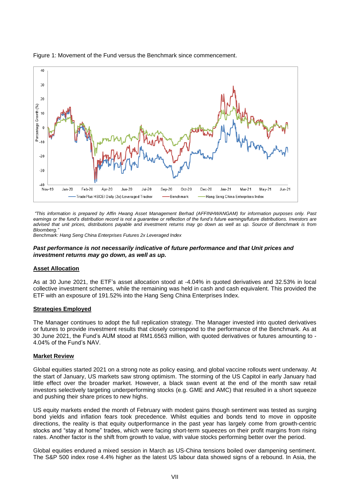

#### Figure 1: Movement of the Fund versus the Benchmark since commencement.

*"This information is prepared by Affin Hwang Asset Management Berhad (AFFINHWANGAM) for information purposes only. Past earnings or the fund's distribution record is not a guarantee or reflection of the fund's future earnings/future distributions. Investors are advised that unit prices, distributions payable and investment returns may go down as well as up. Source of Benchmark is from*  Bloomberg.

*Benchmark: Hang Seng China Enterprises Futures 2x Leveraged Index*

#### *Past performance is not necessarily indicative of future performance and that Unit prices and investment returns may go down, as well as up.*

#### **Asset Allocation**

As at 30 June 2021, the ETF's asset allocation stood at -4.04% in quoted derivatives and 32.53% in local collective investment schemes, while the remaining was held in cash and cash equivalent. This provided the ETF with an exposure of 191.52% into the Hang Seng China Enterprises Index.

#### **Strategies Employed**

The Manager continues to adopt the full replication strategy. The Manager invested into quoted derivatives or futures to provide investment results that closely correspond to the performance of the Benchmark. As at 30 June 2021, the Fund's AUM stood at RM1.6563 million, with quoted derivatives or futures amounting to - 4.04% of the Fund's NAV.

#### **Market Review**

Global equities started 2021 on a strong note as policy easing, and global vaccine rollouts went underway. At the start of January, US markets saw strong optimism. The storming of the US Capitol in early January had little effect over the broader market. However, a black swan event at the end of the month saw retail investors selectively targeting underperforming stocks (e.g. GME and AMC) that resulted in a short squeeze and pushing their share prices to new highs.

US equity markets ended the month of February with modest gains though sentiment was tested as surging bond yields and inflation fears took precedence. Whilst equities and bonds tend to move in opposite directions, the reality is that equity outperformance in the past year has largely come from growth-centric stocks and "stay at home" trades, which were facing short-term squeezes on their profit margins from rising rates. Another factor is the shift from growth to value, with value stocks performing better over the period.

Global equities endured a mixed session in March as US-China tensions boiled over dampening sentiment. The S&P 500 index rose 4.4% higher as the latest US labour data showed signs of a rebound. In Asia, the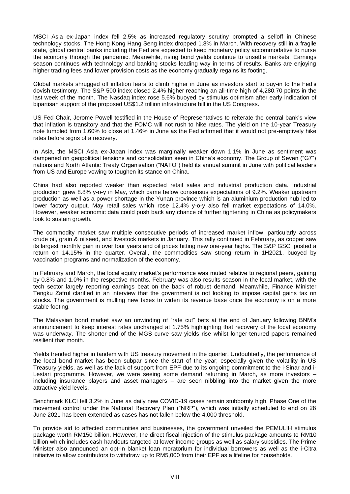MSCI Asia ex-Japan index fell 2.5% as increased regulatory scrutiny prompted a selloff in Chinese technology stocks. The Hong Kong Hang Seng index dropped 1.8% in March. With recovery still in a fragile state, global central banks including the Fed are expected to keep monetary policy accommodative to nurse the economy through the pandemic. Meanwhile, rising bond yields continue to unsettle markets. Earnings season continues with technology and banking stocks leading way in terms of results. Banks are enjoying higher trading fees and lower provision costs as the economy gradually regains its footing.

Global markets shrugged off inflation fears to climb higher in June as investors start to buy-in to the Fed's dovish testimony. The S&P 500 index closed 2.4% higher reaching an all-time high of 4,280.70 points in the last week of the month. The Nasdaq index rose 5.6% buoyed by stimulus optimism after early indication of bipartisan support of the proposed US\$1.2 trillion infrastructure bill in the US Congress.

US Fed Chair, Jerome Powell testified in the House of Representatives to reiterate the central bank's view that inflation is transitory and that the FOMC will not rush to hike rates. The yield on the 10-year Treasury note tumbled from 1.60% to close at 1.46% in June as the Fed affirmed that it would not pre-emptively hike rates before signs of a recovery.

In Asia, the MSCI Asia ex-Japan index was marginally weaker down 1.1% in June as sentiment was dampened on geopolitical tensions and consolidation seen in China's economy. The Group of Seven ("G7") nations and North Atlantic Treaty Organisation ("NATO") held its annual summit in June with political leaders from US and Europe vowing to toughen its stance on China.

China had also reported weaker than expected retail sales and industrial production data. Industrial production grew 8.8% y-o-y in May, which came below consensus expectations of 9.2%. Weaker upstream production as well as a power shortage in the Yunan province which is an aluminium production hub led to lower factory output. May retail sales which rose 12.4% y-o-y also fell market expectations of 14.0%. However, weaker economic data could push back any chance of further tightening in China as policymakers look to sustain growth.

The commodity market saw multiple consecutive periods of increased market inflow, particularly across crude oil, grain & oilseed, and livestock markets in January. This rally continued in February, as copper saw its largest monthly gain in over four years and oil prices hitting new one-year highs. The S&P GSCI posted a return on 14.15% in the quarter. Overall, the commodities saw strong return in 1H2021, buoyed by vaccination programs and normalization of the economy.

In February and March, the local equity market's performance was muted relative to regional peers, gaining by 0.8% and 1.0% in the respective months. February was also results season in the local market, with the tech sector largely reporting earnings beat on the back of robust demand. Meanwhile, Finance Minister Tengku Zafrul clarified in an interview that the government is not looking to impose capital gains tax on stocks. The government is mulling new taxes to widen its revenue base once the economy is on a more stable footing.

The Malaysian bond market saw an unwinding of "rate cut" bets at the end of January following BNM's announcement to keep interest rates unchanged at 1.75% highlighting that recovery of the local economy was underway. The shorter-end of the MGS curve saw yields rise whilst longer-tenured papers remained resilient that month.

Yields trended higher in tandem with US treasury movement in the quarter. Undoubtedly, the performance of the local bond market has been subpar since the start of the year; especially given the volatility in US Treasury yields, as well as the lack of support from EPF due to its ongoing commitment to the i-Sinar and i-Lestari programme. However, we were seeing some demand returning in March, as more investors – including insurance players and asset managers – are seen nibbling into the market given the more attractive yield levels.

Benchmark KLCI fell 3.2% in June as daily new COVID-19 cases remain stubbornly high. Phase One of the movement control under the National Recovery Plan ("NRP"), which was initially scheduled to end on 28 June 2021 has been extended as cases has not fallen below the 4,000 threshold.

To provide aid to affected communities and businesses, the government unveiled the PEMULIH stimulus package worth RM150 billion. However, the direct fiscal injection of the stimulus package amounts to RM10 billion which includes cash handouts targeted at lower income groups as well as salary subsidies. The Prime Minister also announced an opt-in blanket loan moratorium for individual borrowers as well as the i-Citra initiative to allow contributors to withdraw up to RM5,000 from their EPF as a lifeline for households.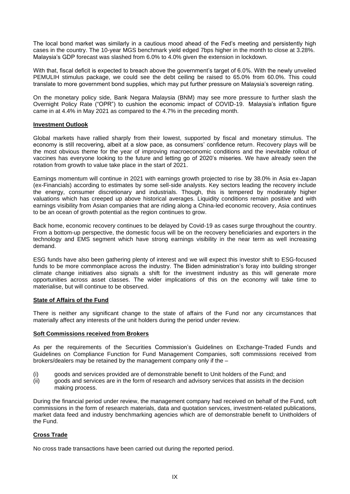The local bond market was similarly in a cautious mood ahead of the Fed's meeting and persistently high cases in the country. The 10-year MGS benchmark yield edged 7bps higher in the month to close at 3.28%. Malaysia's GDP forecast was slashed from 6.0% to 4.0% given the extension in lockdown.

With that, fiscal deficit is expected to breach above the government's target of 6.0%. With the newly unveiled PEMULIH stimulus package, we could see the debt ceiling be raised to 65.0% from 60.0%. This could translate to more government bond supplies, which may put further pressure on Malaysia's sovereign rating.

On the monetary policy side, Bank Negara Malaysia (BNM) may see more pressure to further slash the Overnight Policy Rate ("OPR") to cushion the economic impact of COVID-19. Malaysia's inflation figure came in at 4.4% in May 2021 as compared to the 4.7% in the preceding month.

#### **Investment Outlook**

Global markets have rallied sharply from their lowest, supported by fiscal and monetary stimulus. The economy is still recovering, albeit at a slow pace, as consumers' confidence return. Recovery plays will be the most obvious theme for the year of improving macroeconomic conditions and the inevitable rollout of vaccines has everyone looking to the future and letting go of 2020's miseries. We have already seen the rotation from growth to value take place in the start of 2021.

Earnings momentum will continue in 2021 with earnings growth projected to rise by 38.0% in Asia ex-Japan (ex-Financials) according to estimates by some sell-side analysts. Key sectors leading the recovery include the energy, consumer discretionary and industrials. Though, this is tempered by moderately higher valuations which has creeped up above historical averages. Liquidity conditions remain positive and with earnings visibility from Asian companies that are riding along a China-led economic recovery, Asia continues to be an ocean of growth potential as the region continues to grow.

Back home, economic recovery continues to be delayed by Covid-19 as cases surge throughout the country. From a bottom-up perspective, the domestic focus will be on the recovery beneficiaries and exporters in the technology and EMS segment which have strong earnings visibility in the near term as well increasing demand.

ESG funds have also been gathering plenty of interest and we will expect this investor shift to ESG-focused funds to be more commonplace across the industry. The Biden administration's foray into building stronger climate change initiatives also signals a shift for the investment industry as this will generate more opportunities across asset classes. The wider implications of this on the economy will take time to materialise, but will continue to be observed.

#### **State of Affairs of the Fund**

There is neither any significant change to the state of affairs of the Fund nor any circumstances that materially affect any interests of the unit holders during the period under review.

#### **Soft Commissions received from Brokers**

As per the requirements of the Securities Commission's Guidelines on Exchange-Traded Funds and Guidelines on Compliance Function for Fund Management Companies, soft commissions received from brokers/dealers may be retained by the management company only if the –

- (i) goods and services provided are of demonstrable benefit to Unit holders of the Fund; and
- (ii) goods and services are in the form of research and advisory services that assists in the decision making process.

During the financial period under review, the management company had received on behalf of the Fund, soft commissions in the form of research materials, data and quotation services, investment-related publications, market data feed and industry benchmarking agencies which are of demonstrable benefit to Unitholders of the Fund.

#### **Cross Trade**

No cross trade transactions have been carried out during the reported period.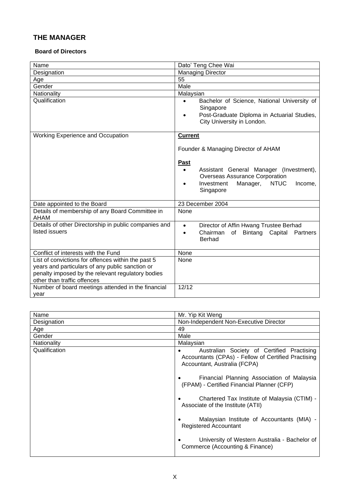## <span id="page-9-0"></span>**THE MANAGER**

#### **Board of Directors**

| Name                                                                                                                                                                                      | Dato' Teng Chee Wai                                                                                                                                                           |
|-------------------------------------------------------------------------------------------------------------------------------------------------------------------------------------------|-------------------------------------------------------------------------------------------------------------------------------------------------------------------------------|
| Designation                                                                                                                                                                               | <b>Managing Director</b>                                                                                                                                                      |
| Age                                                                                                                                                                                       | 55                                                                                                                                                                            |
| Gender                                                                                                                                                                                    | Male                                                                                                                                                                          |
| Nationality                                                                                                                                                                               | Malaysian                                                                                                                                                                     |
| Qualification                                                                                                                                                                             | Bachelor of Science, National University of<br>Singapore<br>Post-Graduate Diploma in Actuarial Studies,<br>City University in London.                                         |
| <b>Working Experience and Occupation</b>                                                                                                                                                  | <b>Current</b>                                                                                                                                                                |
|                                                                                                                                                                                           | Founder & Managing Director of AHAM                                                                                                                                           |
|                                                                                                                                                                                           | <b>Past</b><br>Assistant General Manager (Investment),<br>$\bullet$<br><b>Overseas Assurance Corporation</b><br>Investment<br><b>NTUC</b><br>Manager,<br>Income,<br>Singapore |
| Date appointed to the Board                                                                                                                                                               | 23 December 2004                                                                                                                                                              |
| Details of membership of any Board Committee in<br><b>AHAM</b>                                                                                                                            | None                                                                                                                                                                          |
| Details of other Directorship in public companies and<br>listed issuers                                                                                                                   | Director of Affin Hwang Trustee Berhad<br>$\bullet$<br>Chairman<br>Bintang<br>Capital<br>of<br>Partners<br>$\bullet$<br><b>Berhad</b>                                         |
| Conflict of interests with the Fund                                                                                                                                                       | None                                                                                                                                                                          |
| List of convictions for offences within the past 5<br>years and particulars of any public sanction or<br>penalty imposed by the relevant regulatory bodies<br>other than traffic offences | None                                                                                                                                                                          |
| Number of board meetings attended in the financial<br>year                                                                                                                                | 12/12                                                                                                                                                                         |

| Name          | Mr. Yip Kit Weng                                                                                                                                                                |
|---------------|---------------------------------------------------------------------------------------------------------------------------------------------------------------------------------|
| Designation   | Non-Independent Non-Executive Director                                                                                                                                          |
| Age           | 49                                                                                                                                                                              |
| Gender        | Male                                                                                                                                                                            |
| Nationality   | Malaysian                                                                                                                                                                       |
| Qualification | Australian Society of Certified Practising<br>Accountants (CPAs) - Fellow of Certified Practising<br>Accountant, Australia (FCPA)<br>Financial Planning Association of Malaysia |
|               | (FPAM) - Certified Financial Planner (CFP)                                                                                                                                      |
|               | Chartered Tax Institute of Malaysia (CTIM) -<br>Associate of the Institute (ATII)                                                                                               |
|               | Malaysian Institute of Accountants (MIA) -<br><b>Registered Accountant</b>                                                                                                      |
|               | University of Western Australia - Bachelor of<br>Commerce (Accounting & Finance)                                                                                                |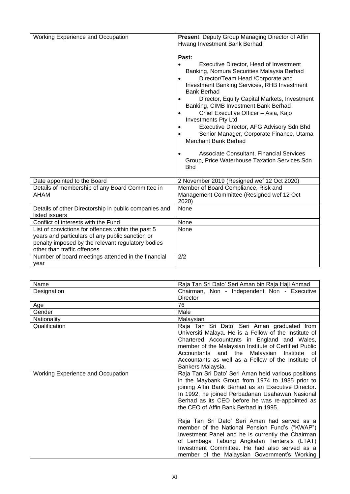| Working Experience and Occupation                                                                                                                                                         | Present: Deputy Group Managing Director of Affin<br>Hwang Investment Bank Berhad<br>Past:<br><b>Executive Director, Head of Investment</b><br>Banking, Nomura Securities Malaysia Berhad<br>Director/Team Head /Corporate and<br>$\bullet$<br>Investment Banking Services, RHB Investment<br><b>Bank Berhad</b><br>Director, Equity Capital Markets, Investment<br>$\bullet$<br>Banking, CIMB Investment Bank Berhad<br>Chief Executive Officer - Asia, Kajo<br>$\bullet$<br><b>Investments Pty Ltd</b><br>Executive Director, AFG Advisory Sdn Bhd<br>$\bullet$<br>Senior Manager, Corporate Finance, Utama<br>$\bullet$<br><b>Merchant Bank Berhad</b><br>Associate Consultant, Financial Services<br>Group, Price Waterhouse Taxation Services Sdn<br><b>Bhd</b> |
|-------------------------------------------------------------------------------------------------------------------------------------------------------------------------------------------|---------------------------------------------------------------------------------------------------------------------------------------------------------------------------------------------------------------------------------------------------------------------------------------------------------------------------------------------------------------------------------------------------------------------------------------------------------------------------------------------------------------------------------------------------------------------------------------------------------------------------------------------------------------------------------------------------------------------------------------------------------------------|
| Date appointed to the Board                                                                                                                                                               | 2 November 2019 (Resigned wef 12 Oct 2020)                                                                                                                                                                                                                                                                                                                                                                                                                                                                                                                                                                                                                                                                                                                          |
| Details of membership of any Board Committee in<br>AHAM                                                                                                                                   | Member of Board Compliance, Risk and<br>Management Committee (Resigned wef 12 Oct<br>2020)                                                                                                                                                                                                                                                                                                                                                                                                                                                                                                                                                                                                                                                                          |
| Details of other Directorship in public companies and<br>listed issuers                                                                                                                   | None                                                                                                                                                                                                                                                                                                                                                                                                                                                                                                                                                                                                                                                                                                                                                                |
| Conflict of interests with the Fund                                                                                                                                                       | None                                                                                                                                                                                                                                                                                                                                                                                                                                                                                                                                                                                                                                                                                                                                                                |
| List of convictions for offences within the past 5<br>years and particulars of any public sanction or<br>penalty imposed by the relevant regulatory bodies<br>other than traffic offences | None                                                                                                                                                                                                                                                                                                                                                                                                                                                                                                                                                                                                                                                                                                                                                                |
| Number of board meetings attended in the financial<br>vear                                                                                                                                | 2/2                                                                                                                                                                                                                                                                                                                                                                                                                                                                                                                                                                                                                                                                                                                                                                 |

| Name                                     | Raja Tan Sri Dato' Seri Aman bin Raja Haji Ahmad                                                                                                                                                                                                                                                                                                                                                                                                                                                                                                                                                                    |
|------------------------------------------|---------------------------------------------------------------------------------------------------------------------------------------------------------------------------------------------------------------------------------------------------------------------------------------------------------------------------------------------------------------------------------------------------------------------------------------------------------------------------------------------------------------------------------------------------------------------------------------------------------------------|
| Designation                              | Chairman, Non - Independent Non - Executive                                                                                                                                                                                                                                                                                                                                                                                                                                                                                                                                                                         |
|                                          | <b>Director</b>                                                                                                                                                                                                                                                                                                                                                                                                                                                                                                                                                                                                     |
| Age                                      | 76                                                                                                                                                                                                                                                                                                                                                                                                                                                                                                                                                                                                                  |
| Gender                                   | Male                                                                                                                                                                                                                                                                                                                                                                                                                                                                                                                                                                                                                |
| Nationality                              | Malaysian                                                                                                                                                                                                                                                                                                                                                                                                                                                                                                                                                                                                           |
| Qualification                            | Raja Tan Sri Dato' Seri Aman graduated from<br>Universiti Malaya. He is a Fellow of the Institute of<br>Chartered Accountants in England and Wales,<br>member of the Malaysian Institute of Certified Public<br>Accountants and the<br>Malaysian Institute<br>of .<br>Accountants as well as a Fellow of the Institute of<br>Bankers Malaysia.                                                                                                                                                                                                                                                                      |
| <b>Working Experience and Occupation</b> | Raja Tan Sri Dato' Seri Aman held various positions<br>in the Maybank Group from 1974 to 1985 prior to<br>joining Affin Bank Berhad as an Executive Director.<br>In 1992, he joined Perbadanan Usahawan Nasional<br>Berhad as its CEO before he was re-appointed as<br>the CEO of Affin Bank Berhad in 1995.<br>Raja Tan Sri Dato' Seri Aman had served as a<br>member of the National Pension Fund's ("KWAP")<br>Investment Panel and he is currently the Chairman<br>of Lembaga Tabung Angkatan Tentera's (LTAT)<br>Investment Committee. He had also served as a<br>member of the Malaysian Government's Working |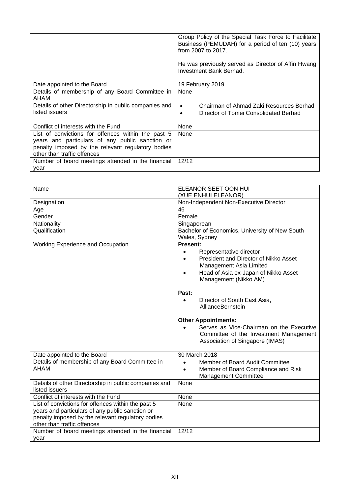|                                                                                                                                                                                           | Group Policy of the Special Task Force to Facilitate<br>Business (PEMUDAH) for a period of ten (10) years<br>from $2007$ to $2017$ .<br>He was previously served as Director of Affin Hwang<br>Investment Bank Berhad. |
|-------------------------------------------------------------------------------------------------------------------------------------------------------------------------------------------|------------------------------------------------------------------------------------------------------------------------------------------------------------------------------------------------------------------------|
| Date appointed to the Board                                                                                                                                                               | 19 February 2019                                                                                                                                                                                                       |
| Details of membership of any Board Committee in<br>AHAM                                                                                                                                   | None                                                                                                                                                                                                                   |
| Details of other Directorship in public companies and<br>listed issuers                                                                                                                   | Chairman of Ahmad Zaki Resources Berhad<br>$\bullet$<br>Director of Tomei Consolidated Berhad<br>٠                                                                                                                     |
| Conflict of interests with the Fund                                                                                                                                                       | None                                                                                                                                                                                                                   |
| List of convictions for offences within the past 5<br>years and particulars of any public sanction or<br>penalty imposed by the relevant regulatory bodies<br>other than traffic offences | None                                                                                                                                                                                                                   |
| Number of board meetings attended in the financial<br>year                                                                                                                                | 12/12                                                                                                                                                                                                                  |

| Name                                                                                                                                                                                      | ELEANOR SEET OON HUI                                                                                                                                                                                                                                                                                                                                                                                                                                     |
|-------------------------------------------------------------------------------------------------------------------------------------------------------------------------------------------|----------------------------------------------------------------------------------------------------------------------------------------------------------------------------------------------------------------------------------------------------------------------------------------------------------------------------------------------------------------------------------------------------------------------------------------------------------|
|                                                                                                                                                                                           | (XUE ENHUI ELEANOR)                                                                                                                                                                                                                                                                                                                                                                                                                                      |
| Non-Independent Non-Executive Director<br>Designation                                                                                                                                     |                                                                                                                                                                                                                                                                                                                                                                                                                                                          |
| Age                                                                                                                                                                                       | 46                                                                                                                                                                                                                                                                                                                                                                                                                                                       |
| Gender                                                                                                                                                                                    | Female                                                                                                                                                                                                                                                                                                                                                                                                                                                   |
| Nationality                                                                                                                                                                               | Singaporean                                                                                                                                                                                                                                                                                                                                                                                                                                              |
| Qualification                                                                                                                                                                             | Bachelor of Economics, University of New South<br>Wales, Sydney                                                                                                                                                                                                                                                                                                                                                                                          |
| <b>Working Experience and Occupation</b>                                                                                                                                                  | <b>Present:</b><br>Representative director<br>$\bullet$<br>President and Director of Nikko Asset<br>$\bullet$<br>Management Asia Limited<br>Head of Asia ex-Japan of Nikko Asset<br>$\bullet$<br>Management (Nikko AM)<br>Past:<br>Director of South East Asia,<br>$\bullet$<br>AllianceBernstein<br><b>Other Appointments:</b><br>Serves as Vice-Chairman on the Executive<br>Committee of the Investment Management<br>Association of Singapore (IMAS) |
| Date appointed to the Board                                                                                                                                                               | 30 March 2018                                                                                                                                                                                                                                                                                                                                                                                                                                            |
| Details of membership of any Board Committee in<br><b>AHAM</b>                                                                                                                            | Member of Board Audit Committee<br>$\bullet$<br>Member of Board Compliance and Risk<br>$\bullet$<br>Management Committee                                                                                                                                                                                                                                                                                                                                 |
|                                                                                                                                                                                           |                                                                                                                                                                                                                                                                                                                                                                                                                                                          |
| Details of other Directorship in public companies and<br>listed issuers                                                                                                                   | None                                                                                                                                                                                                                                                                                                                                                                                                                                                     |
| Conflict of interests with the Fund                                                                                                                                                       | None                                                                                                                                                                                                                                                                                                                                                                                                                                                     |
| List of convictions for offences within the past 5<br>years and particulars of any public sanction or<br>penalty imposed by the relevant regulatory bodies<br>other than traffic offences | None<br>12/12                                                                                                                                                                                                                                                                                                                                                                                                                                            |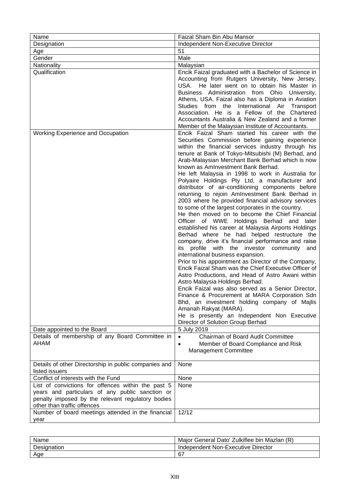| Name                                                                                                 | Faizal Sham Bin Abu Mansor                                                                            |
|------------------------------------------------------------------------------------------------------|-------------------------------------------------------------------------------------------------------|
| Designation                                                                                          | Independent Non-Executive Director                                                                    |
| Age                                                                                                  | 51                                                                                                    |
| Gender                                                                                               | Male                                                                                                  |
| Nationality                                                                                          | Malaysian                                                                                             |
| Qualification                                                                                        | Encik Faizal graduated with a Bachelor of Science in                                                  |
|                                                                                                      | Accounting from Rutgers University, New Jersey,                                                       |
|                                                                                                      | USA. He later went on to obtain his Master in                                                         |
|                                                                                                      | Business Administration from Ohio University,                                                         |
|                                                                                                      | Athens, USA. Faizal also has a Diploma in Aviation                                                    |
|                                                                                                      | Studies from the International Air Transport                                                          |
|                                                                                                      | Association. He is a Fellow of the Chartered                                                          |
|                                                                                                      | Accountants Australia & New Zealand and a former                                                      |
|                                                                                                      | Member of the Malaysian Institute of Accountants.                                                     |
| Working Experience and Occupation                                                                    | Encik Faizal Sham started his career with the                                                         |
|                                                                                                      | Securities Commission before gaining experience<br>within the financial services industry through his |
|                                                                                                      | tenure at Bank of Tokyo-Mitsubishi (M) Berhad, and                                                    |
|                                                                                                      | Arab-Malaysian Merchant Bank Berhad which is now                                                      |
|                                                                                                      | known as AmInvestment Bank Berhad.                                                                    |
|                                                                                                      | He left Malaysia in 1998 to work in Australia for                                                     |
|                                                                                                      | Polyaire Holdings Pty Ltd, a manufacturer and                                                         |
|                                                                                                      | distributor of air-conditioning components before                                                     |
|                                                                                                      | returning to rejoin AmInvestment Bank Berhad in                                                       |
|                                                                                                      | 2003 where he provided financial advisory services                                                    |
|                                                                                                      | to some of the largest corporates in the country.                                                     |
|                                                                                                      | He then moved on to become the Chief Financial                                                        |
|                                                                                                      | Officer of WWE Holdings Berhad and<br>later                                                           |
|                                                                                                      | established his career at Malaysia Airports Holdings                                                  |
|                                                                                                      | Berhad where he had helped restructure the                                                            |
|                                                                                                      | company, drive it's financial performance and raise<br>its profile with the investor community<br>and |
|                                                                                                      | international business expansion.                                                                     |
|                                                                                                      | Prior to his appointment as Director of the Company,                                                  |
|                                                                                                      | Encik Faizal Sham was the Chief Executive Officer of                                                  |
|                                                                                                      | Astro Productions, and Head of Astro Awani within                                                     |
|                                                                                                      | Astro Malaysia Holdings Berhad.                                                                       |
|                                                                                                      | Encik Faizal was also served as a Senior Director,                                                    |
|                                                                                                      | Finance & Procurement at MARA Corporation Sdn                                                         |
|                                                                                                      | Bhd, an investment holding company of Majlis                                                          |
|                                                                                                      | Amanah Rakyat (MARA).                                                                                 |
|                                                                                                      | He is presently an Independent Non Executive                                                          |
|                                                                                                      | Director of Solution Group Berhad                                                                     |
| Date appointed to the Board                                                                          | 5 July 2019                                                                                           |
| Details of membership of any Board Committee in                                                      | Chairman of Board Audit Committee<br>$\bullet$                                                        |
| AHAM                                                                                                 | Member of Board Compliance and Risk<br>$\bullet$                                                      |
|                                                                                                      | Management Committee                                                                                  |
|                                                                                                      |                                                                                                       |
| Details of other Directorship in public companies and                                                | None                                                                                                  |
| listed issuers                                                                                       |                                                                                                       |
| Conflict of interests with the Fund                                                                  | None                                                                                                  |
| List of convictions for offences within the past 5                                                   | None                                                                                                  |
| years and particulars of any public sanction or<br>penalty imposed by the relevant regulatory bodies |                                                                                                       |
| other than traffic offences                                                                          |                                                                                                       |
| Number of board meetings attended in the financial                                                   | 12/12                                                                                                 |
| year                                                                                                 |                                                                                                       |
|                                                                                                      |                                                                                                       |

| Name        | Major General Dato' Zulkiflee bin Mazlan (R) |
|-------------|----------------------------------------------|
| Designation | Independent Non-Executive Director           |
| Age         | 67                                           |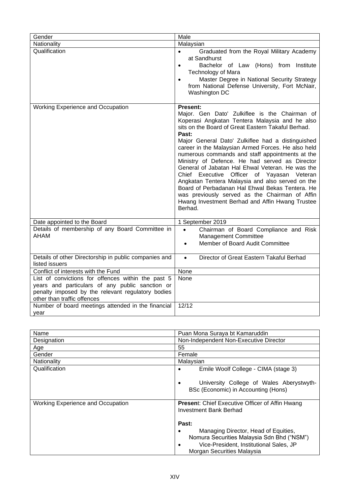| Gender                                                                                                                                                                                    | Male                                                                                                                                                                                                                                                                                                                                                                                                                                                                                                                                                                                                                                                                                                                |
|-------------------------------------------------------------------------------------------------------------------------------------------------------------------------------------------|---------------------------------------------------------------------------------------------------------------------------------------------------------------------------------------------------------------------------------------------------------------------------------------------------------------------------------------------------------------------------------------------------------------------------------------------------------------------------------------------------------------------------------------------------------------------------------------------------------------------------------------------------------------------------------------------------------------------|
| Nationality                                                                                                                                                                               | Malaysian                                                                                                                                                                                                                                                                                                                                                                                                                                                                                                                                                                                                                                                                                                           |
| Qualification                                                                                                                                                                             | Graduated from the Royal Military Academy<br>$\bullet$<br>at Sandhurst<br>Bachelor of Law (Hons) from Institute<br>$\bullet$<br><b>Technology of Mara</b><br>Master Degree in National Security Strategy<br>$\bullet$<br>from National Defense University, Fort McNair,<br>Washington DC                                                                                                                                                                                                                                                                                                                                                                                                                            |
| Working Experience and Occupation                                                                                                                                                         | Present:<br>Major. Gen Dato' Zulkiflee is the Chairman of<br>Koperasi Angkatan Tentera Malaysia and he also<br>sits on the Board of Great Eastern Takaful Berhad.<br>Past:<br>Major General Dato' Zulkiflee had a distinguished<br>career in the Malaysian Armed Forces. He also held<br>numerous commands and staff appointments at the<br>Ministry of Defence. He had served as Director<br>General of Jabatan Hal Ehwal Veteran. He was the<br>Chief Executive Officer of Yayasan Veteran<br>Angkatan Tentera Malaysia and also served on the<br>Board of Perbadanan Hal Ehwal Bekas Tentera. He<br>was previously served as the Chairman of Affin<br>Hwang Investment Berhad and Affin Hwang Trustee<br>Berhad. |
| Date appointed to the Board                                                                                                                                                               | 1 September 2019                                                                                                                                                                                                                                                                                                                                                                                                                                                                                                                                                                                                                                                                                                    |
| Details of membership of any Board Committee in<br>AHAM                                                                                                                                   | Chairman of Board Compliance and Risk<br>$\bullet$<br>Management Committee<br>Member of Board Audit Committee<br>$\bullet$                                                                                                                                                                                                                                                                                                                                                                                                                                                                                                                                                                                          |
| Details of other Directorship in public companies and<br>listed issuers                                                                                                                   | Director of Great Eastern Takaful Berhad<br>$\bullet$                                                                                                                                                                                                                                                                                                                                                                                                                                                                                                                                                                                                                                                               |
| Conflict of interests with the Fund                                                                                                                                                       | None                                                                                                                                                                                                                                                                                                                                                                                                                                                                                                                                                                                                                                                                                                                |
| List of convictions for offences within the past 5<br>years and particulars of any public sanction or<br>penalty imposed by the relevant regulatory bodies<br>other than traffic offences | None                                                                                                                                                                                                                                                                                                                                                                                                                                                                                                                                                                                                                                                                                                                |
| Number of board meetings attended in the financial<br>year                                                                                                                                | 12/12                                                                                                                                                                                                                                                                                                                                                                                                                                                                                                                                                                                                                                                                                                               |

| Name                                     | Puan Mona Suraya bt Kamaruddin                                                                                                                                           |
|------------------------------------------|--------------------------------------------------------------------------------------------------------------------------------------------------------------------------|
| Designation                              | Non-Independent Non-Executive Director                                                                                                                                   |
| Age                                      | 55                                                                                                                                                                       |
| Gender                                   | Female                                                                                                                                                                   |
| Nationality                              | Malaysian                                                                                                                                                                |
| Qualification                            | Emile Woolf College - CIMA (stage 3)                                                                                                                                     |
|                                          | University College of Wales Aberystwyth-<br>BSc (Economic) in Accounting (Hons)                                                                                          |
| <b>Working Experience and Occupation</b> | <b>Present:</b> Chief Executive Officer of Affin Hwang<br><b>Investment Bank Berhad</b>                                                                                  |
|                                          | Past:                                                                                                                                                                    |
|                                          | Managing Director, Head of Equities,<br>Nomura Securities Malaysia Sdn Bhd ("NSM")<br>Vice-President, Institutional Sales, JP<br>$\bullet$<br>Morgan Securities Malaysia |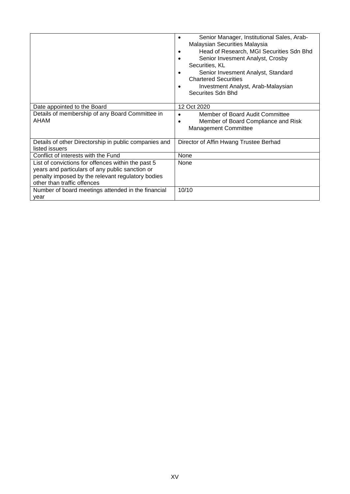|                                                                                                                                                                                           | Senior Manager, Institutional Sales, Arab-<br>Malaysian Securities Malaysia<br>Head of Research, MGI Securities Sdn Bhd<br>Senior Invesment Analyst, Crosby<br>Securities, KL<br>Senior Invesment Analyst, Standard<br><b>Chartered Securities</b><br>Investment Analyst, Arab-Malaysian<br>Securites Sdn Bhd |
|-------------------------------------------------------------------------------------------------------------------------------------------------------------------------------------------|---------------------------------------------------------------------------------------------------------------------------------------------------------------------------------------------------------------------------------------------------------------------------------------------------------------|
| Date appointed to the Board                                                                                                                                                               | 12 Oct 2020                                                                                                                                                                                                                                                                                                   |
| Details of membership of any Board Committee in<br>AHAM                                                                                                                                   | Member of Board Audit Committee<br>Member of Board Compliance and Risk<br><b>Management Committee</b>                                                                                                                                                                                                         |
| Details of other Directorship in public companies and<br>listed issuers                                                                                                                   | Director of Affin Hwang Trustee Berhad                                                                                                                                                                                                                                                                        |
| Conflict of interests with the Fund                                                                                                                                                       | None                                                                                                                                                                                                                                                                                                          |
| List of convictions for offences within the past 5<br>years and particulars of any public sanction or<br>penalty imposed by the relevant regulatory bodies<br>other than traffic offences | None                                                                                                                                                                                                                                                                                                          |
| Number of board meetings attended in the financial<br>year                                                                                                                                | 10/10                                                                                                                                                                                                                                                                                                         |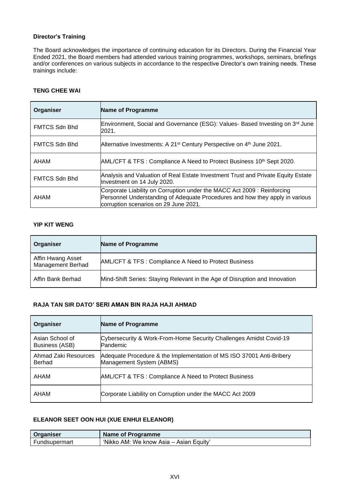#### **Director's Training**

The Board acknowledges the importance of continuing education for its Directors. During the Financial Year Ended 2021, the Board members had attended various training programmes, workshops, seminars, briefings and/or conferences on various subjects in accordance to the respective Director's own training needs. These trainings include:

#### **TENG CHEE WAI**

| Organiser            | <b>Name of Programme</b>                                                                                                                                                                        |
|----------------------|-------------------------------------------------------------------------------------------------------------------------------------------------------------------------------------------------|
| FMTCS Sdn Bhd        | Environment, Social and Governance (ESG): Values- Based Investing on 3rd June<br>2021.                                                                                                          |
| FMTCS Sdn Bhd        | Alternative Investments: A 21 <sup>st</sup> Century Perspective on 4 <sup>th</sup> June 2021.                                                                                                   |
| AHAM                 | AML/CFT & TFS : Compliance A Need to Protect Business 10 <sup>th</sup> Sept 2020.                                                                                                               |
| <b>FMTCS Sdn Bhd</b> | Analysis and Valuation of Real Estate Investment Trust and Private Equity Estate<br>Investment on 14 July 2020.                                                                                 |
| <b>AHAM</b>          | Corporate Liability on Corruption under the MACC Act 2009: Reinforcing<br>Personnel Understanding of Adequate Procedures and how they apply in various<br>corruption scenarios on 29 June 2021. |

#### **YIP KIT WENG**

| Organiser                                     | <b>Name of Programme</b>                                                    |
|-----------------------------------------------|-----------------------------------------------------------------------------|
| Affin Hwang Asset<br><b>Management Berhad</b> | AML/CFT & TFS: Compliance A Need to Protect Business                        |
| Affin Bank Berhad                             | Mind-Shift Series: Staying Relevant in the Age of Disruption and Innovation |

## **RAJA TAN SIR DATO' SERI AMAN BIN RAJA HAJI AHMAD**

| Organiser                         | <b>Name of Programme</b>                                                                         |
|-----------------------------------|--------------------------------------------------------------------------------------------------|
| Asian School of<br>Business (ASB) | Cybersecurity & Work-From-Home Security Challenges Amidst Covid-19<br>Pandemic                   |
| Ahmad Zaki Resources<br>Berhad    | Adequate Procedure & the Implementation of MS ISO 37001 Anti-Bribery<br>Management System (ABMS) |
| AHAM                              | AML/CFT & TFS: Compliance A Need to Protect Business                                             |
| AHAM                              | Corporate Liability on Corruption under the MACC Act 2009                                        |

## **ELEANOR SEET OON HUI (XUE ENHUI ELEANOR)**

| Organiser     | Name of Programme                       |
|---------------|-----------------------------------------|
| Fundsupermart | 'Nikko AM: We know Asia – Asian Equity' |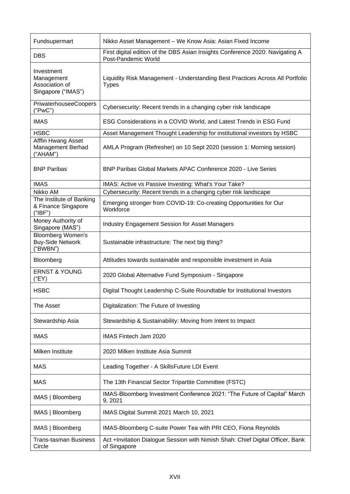| Fundsupermart                                                    | Nikko Asset Management - We Know Asia: Asian Fixed Income                                            |
|------------------------------------------------------------------|------------------------------------------------------------------------------------------------------|
| <b>DBS</b>                                                       | First digital edition of the DBS Asian Insights Conference 2020: Navigating A<br>Post-Pandemic World |
| Investment<br>Management<br>Association of<br>Singapore ("IMAS") | Liquidity Risk Management - Understanding Best Practices Across All Portfolio<br><b>Types</b>        |
| PriwaterhouseeCoopers<br>("PwC")                                 | Cybersecurity: Recent trends in a changing cyber risk landscape                                      |
| <b>IMAS</b>                                                      | ESG Considerations in a COVID World, and Latest Trends in ESG Fund                                   |
| <b>HSBC</b>                                                      | Asset Management Thought Leadership for institutional investors by HSBC                              |
| Afffin Hwang Asset<br>Management Berhad<br>("AHAM")              | AMLA Program (Refresher) on 10 Sept 2020 (session 1: Morning session)                                |
| <b>BNP Paribas</b>                                               | <b>BNP Paribas Global Markets APAC Conference 2020 - Live Series</b>                                 |
| <b>IMAS</b>                                                      | IMAS: Active vs Passive Investing: What's Your Take?                                                 |
| Nikko AM                                                         | Cybersecurity: Recent trends in a changing cyber risk landscape                                      |
| The Institute of Banking<br>& Finance Singapore<br>("IBF")       | Emerging stronger from COVID-19: Co-creating Opportunities for Our<br>Workforce                      |
| Money Authority of<br>Singapore (MAS")                           | <b>Industry Engagement Session for Asset Managers</b>                                                |
| <b>Bloomberg Women's</b><br><b>Buy-Side Network</b><br>("BWBN")  | Sustainable infrastructure: The next big thing?                                                      |
| Bloomberg                                                        | Attitudes towards sustainable and responsible investment in Asia                                     |
| <b>ERNST &amp; YOUNG</b><br>("EY)                                | 2020 Global Alternative Fund Symposium - Singapore                                                   |
| <b>HSBC</b>                                                      | Digital Thought Leadership C-Suite Roundtable for Institutional Investors                            |
| The Asset                                                        | Digitalization: The Future of Investing                                                              |
| Stewardship Asia                                                 | Stewardship & Sustainability: Moving from Intent to Impact                                           |
| <b>IMAS</b>                                                      | IMAS Fintech Jam 2020                                                                                |
| Milken Institute                                                 | 2020 Milken Institute Asia Summit                                                                    |
| <b>MAS</b>                                                       | Leading Together - A SkillsFuture LDI Event                                                          |
| <b>MAS</b>                                                       | The 13th Financial Sector Tripartite Committee (FSTC)                                                |
| IMAS   Bloomberg                                                 | IMAS-Bloomberg Investment Conference 2021: "The Future of Capital" March<br>9, 2021                  |
| IMAS   Bloomberg                                                 | IMAS Digital Summit 2021 March 10, 2021                                                              |
| IMAS   Bloomberg                                                 | IMAS-Bloomberg C-suite Power Tea with PRI CEO, Fiona Reynolds                                        |
| <b>Trans-tasman Business</b><br>Circle                           | Act +Invitation Dialogue Session with Nimish Shah: Chief Digital Officer, Bank<br>of Singapore       |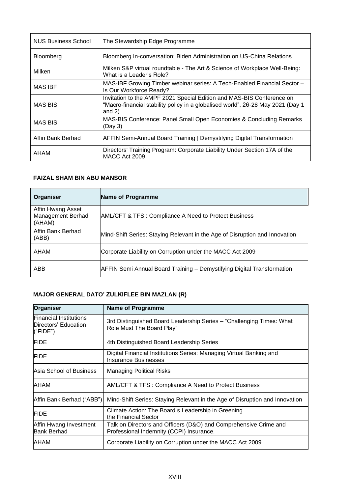| NUS Business School | The Stewardship Edge Programme                                                                                                                                       |
|---------------------|----------------------------------------------------------------------------------------------------------------------------------------------------------------------|
| Bloomberg           | Bloomberg In-conversation: Biden Administration on US-China Relations                                                                                                |
| Milken              | Milken S&P virtual roundtable - The Art & Science of Workplace Well-Being:<br>What is a Leader's Role?                                                               |
| <b>MAS IBF</b>      | MAS-IBF Growing Timber webinar series: A Tech-Enabled Financial Sector -<br>Is Our Workforce Ready?                                                                  |
| <b>MAS BIS</b>      | Invitation to the AMPF 2021 Special Edition and MAS-BIS Conference on<br>"Macro-financial stability policy in a globalised world", 26-28 May 2021 (Day 1<br>and $2)$ |
| MAS BIS             | MAS-BIS Conference: Panel Small Open Economies & Concluding Remarks<br>(Day 3)                                                                                       |
| Affin Bank Berhad   | AFFIN Semi-Annual Board Training   Demystifying Digital Transformation                                                                                               |
| AHAM                | Directors' Training Program: Corporate Liability Under Section 17A of the<br>MACC Act 2009                                                                           |

## **FAIZAL SHAM BIN ABU MANSOR**

| Organiser                                        | <b>Name of Programme</b>                                                    |
|--------------------------------------------------|-----------------------------------------------------------------------------|
| Affin Hwang Asset<br>Management Berhad<br>(AHAM) | AML/CFT & TFS: Compliance A Need to Protect Business                        |
| Affin Bank Berhad<br>(ABB)                       | Mind-Shift Series: Staying Relevant in the Age of Disruption and Innovation |
| AHAM                                             | Corporate Liability on Corruption under the MACC Act 2009                   |
| ABB                                              | AFFIN Semi Annual Board Training - Demystifying Digital Transformation      |

## **MAJOR GENERAL DATO' ZULKIFLEE BIN MAZLAN (R)**

| <b>Organiser</b>                                                  | <b>Name of Programme</b>                                                                                     |
|-------------------------------------------------------------------|--------------------------------------------------------------------------------------------------------------|
| <b>Financial Institutions</b><br>Directors' Education<br>("FIDE") | 3rd Distinguished Board Leadership Series - "Challenging Times: What<br>Role Must The Board Play"            |
| <b>FIDE</b>                                                       | 4th Distinguished Board Leadership Series                                                                    |
| <b>FIDE</b>                                                       | Digital Financial Institutions Series: Managing Virtual Banking and<br><b>Insurance Businesses</b>           |
| Asia School of Business                                           | <b>Managing Political Risks</b>                                                                              |
| AHAM                                                              | AML/CFT & TFS: Compliance A Need to Protect Business                                                         |
| Affin Bank Berhad ("ABB")                                         | Mind-Shift Series: Staying Relevant in the Age of Disruption and Innovation                                  |
| <b>FIDE</b>                                                       | Climate Action: The Board s Leadership in Greening<br>the Financial Sector                                   |
| Affin Hwang Investment<br><b>Bank Berhad</b>                      | Talk on Directors and Officers (D&O) and Comprehensive Crime and<br>Professional Indemnity (CCPI) Insurance. |
| AHAM                                                              | Corporate Liability on Corruption under the MACC Act 2009                                                    |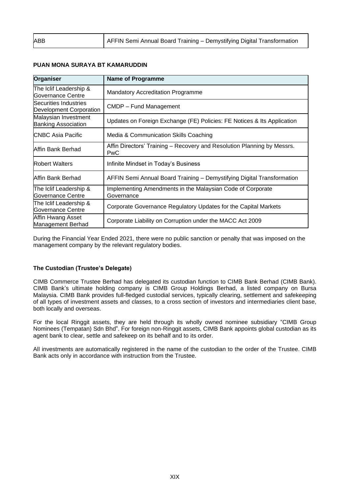| ABB | AFFIN Semi Annual Board Training - Demystifying Digital Transformation |
|-----|------------------------------------------------------------------------|
|     |                                                                        |

#### **PUAN MONA SURAYA BT KAMARUDDIN**

| <b>Organiser</b>                                   | <b>Name of Programme</b>                                                       |  |  |  |
|----------------------------------------------------|--------------------------------------------------------------------------------|--|--|--|
| The Iclif Leadership &<br>Governance Centre        | <b>Mandatory Accreditation Programme</b>                                       |  |  |  |
| Securities Industries<br>Development Corporation   | CMDP - Fund Management                                                         |  |  |  |
| Malaysian Investment<br><b>Banking Association</b> | Updates on Foreign Exchange (FE) Policies: FE Notices & Its Application        |  |  |  |
| <b>ICNBC Asia Pacific</b>                          | Media & Communication Skills Coaching                                          |  |  |  |
| Affin Bank Berhad                                  | Affin Directors' Training – Recovery and Resolution Planning by Messrs.<br>PwC |  |  |  |
| <b>Robert Walters</b>                              | Infinite Mindset in Today's Business                                           |  |  |  |
| Affin Bank Berhad                                  | AFFIN Semi Annual Board Training - Demystifying Digital Transformation         |  |  |  |
| The Iclif Leadership &<br>Governance Centre        | Implementing Amendments in the Malaysian Code of Corporate<br>Governance       |  |  |  |
| The Iclif Leadership &<br><b>Governance Centre</b> | Corporate Governance Regulatory Updates for the Capital Markets                |  |  |  |
| Affin Hwang Asset<br>Management Berhad             | Corporate Liability on Corruption under the MACC Act 2009                      |  |  |  |

During the Financial Year Ended 2021, there were no public sanction or penalty that was imposed on the management company by the relevant regulatory bodies.

#### **The Custodian (Trustee's Delegate)**

CIMB Commerce Trustee Berhad has delegated its custodian function to CIMB Bank Berhad (CIMB Bank). CIMB Bank's ultimate holding company is CIMB Group Holdings Berhad, a listed company on Bursa Malaysia. CIMB Bank provides full-fledged custodial services, typically clearing, settlement and safekeeping of all types of investment assets and classes, to a cross section of investors and intermediaries client base, both locally and overseas.

For the local Ringgit assets, they are held through its wholly owned nominee subsidiary "CIMB Group Nominees (Tempatan) Sdn Bhd". For foreign non-Ringgit assets, CIMB Bank appoints global custodian as its agent bank to clear, settle and safekeep on its behalf and to its order.

All investments are automatically registered in the name of the custodian to the order of the Trustee. CIMB Bank acts only in accordance with instruction from the Trustee.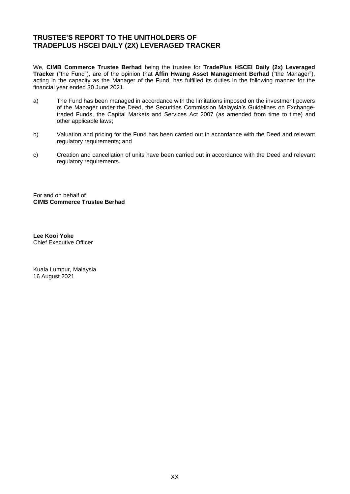## <span id="page-19-0"></span>**TRUSTEE'S REPORT TO THE UNITHOLDERS OF TRADEPLUS HSCEI DAILY (2X) LEVERAGED TRACKER**

We, **CIMB Commerce Trustee Berhad** being the trustee for **TradePlus HSCEI Daily (2x) Leveraged Tracker** ("the Fund"), are of the opinion that **Affin Hwang Asset Management Berhad** ("the Manager"), acting in the capacity as the Manager of the Fund, has fulfilled its duties in the following manner for the financial year ended 30 June 2021.

- a) The Fund has been managed in accordance with the limitations imposed on the investment powers of the Manager under the Deed, the Securities Commission Malaysia's Guidelines on Exchangetraded Funds, the Capital Markets and Services Act 2007 (as amended from time to time) and other applicable laws;
- b) Valuation and pricing for the Fund has been carried out in accordance with the Deed and relevant regulatory requirements; and
- c) Creation and cancellation of units have been carried out in accordance with the Deed and relevant regulatory requirements.

For and on behalf of **CIMB Commerce Trustee Berhad**

**Lee Kooi Yoke** Chief Executive Officer

Kuala Lumpur, Malaysia 16 August 2021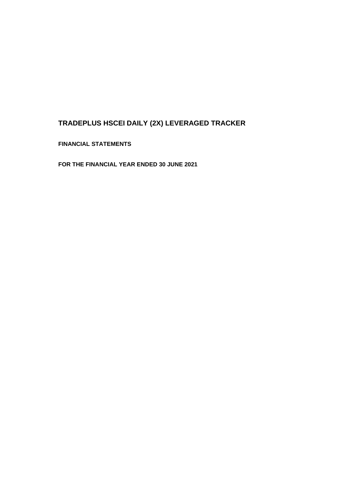**FINANCIAL STATEMENTS**

**FOR THE FINANCIAL YEAR ENDED 30 JUNE 2021**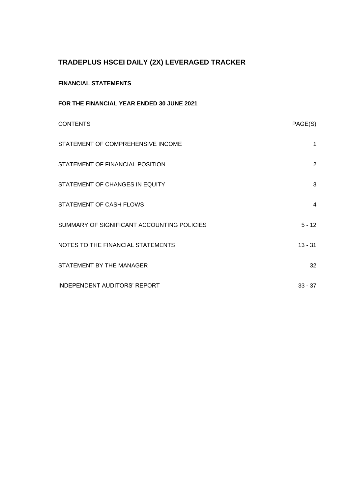## **FINANCIAL STATEMENTS**

| FOR THE FINANCIAL YEAR ENDED 30 JUNE 2021  |           |
|--------------------------------------------|-----------|
| <b>CONTENTS</b>                            | PAGE(S)   |
| STATEMENT OF COMPREHENSIVE INCOME          | 1         |
| STATEMENT OF FINANCIAL POSITION            | 2         |
| STATEMENT OF CHANGES IN EQUITY             | 3         |
| STATEMENT OF CASH FLOWS                    | 4         |
| SUMMARY OF SIGNIFICANT ACCOUNTING POLICIES | $5 - 12$  |
| NOTES TO THE FINANCIAL STATEMENTS          | $13 - 31$ |
| STATEMENT BY THE MANAGER                   | 32        |
| <b>INDEPENDENT AUDITORS' REPORT</b>        | $33 - 37$ |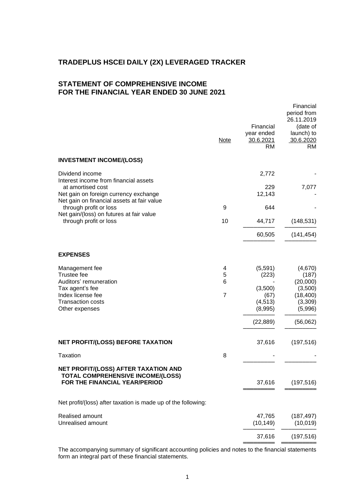## **STATEMENT OF COMPREHENSIVE INCOME FOR THE FINANCIAL YEAR ENDED 30 JUNE 2021**

|                                                                                     | <b>Note</b>    | Financial<br>year ended<br>30.6.2021<br>RM | Financial<br>period from<br>26.11.2019<br>(date of<br>launch) to<br>30.6.2020<br><b>RM</b> |
|-------------------------------------------------------------------------------------|----------------|--------------------------------------------|--------------------------------------------------------------------------------------------|
| <b>INVESTMENT INCOME/(LOSS)</b>                                                     |                |                                            |                                                                                            |
| Dividend income<br>Interest income from financial assets                            |                | 2,772                                      |                                                                                            |
| at amortised cost                                                                   |                | 229                                        | 7,077                                                                                      |
| Net gain on foreign currency exchange<br>Net gain on financial assets at fair value |                | 12,143                                     |                                                                                            |
| through profit or loss                                                              | 9              | 644                                        |                                                                                            |
| Net gain/(loss) on futures at fair value<br>through profit or loss                  | 10             | 44,717                                     | (148, 531)                                                                                 |
|                                                                                     |                | 60,505                                     | (141, 454)                                                                                 |
| <b>EXPENSES</b>                                                                     |                |                                            |                                                                                            |
| Management fee                                                                      | 4              | (5, 591)                                   | (4,670)                                                                                    |
| Trustee fee                                                                         | 5              | (223)                                      | (187)                                                                                      |
| Auditors' remuneration                                                              | 6              |                                            | (20,000)                                                                                   |
| Tax agent's fee                                                                     |                | (3,500)                                    | (3,500)                                                                                    |
| Index license fee                                                                   | $\overline{7}$ | (67)                                       | (18, 400)                                                                                  |
| <b>Transaction costs</b>                                                            |                | (4, 513)                                   | (3,309)                                                                                    |
| Other expenses                                                                      |                | (8,995)                                    | (5,996)                                                                                    |
|                                                                                     |                | (22, 889)                                  | (56,062)                                                                                   |
| NET PROFIT/(LOSS) BEFORE TAXATION                                                   |                | 37,616                                     | (197, 516)                                                                                 |
| <b>Taxation</b>                                                                     | 8              |                                            |                                                                                            |
| NET PROFIT/(LOSS) AFTER TAXATION AND<br><b>TOTAL COMPREHENSIVE INCOME/(LOSS)</b>    |                |                                            |                                                                                            |
| FOR THE FINANCIAL YEAR/PERIOD                                                       |                | 37,616                                     | (197, 516)                                                                                 |
| Net profit/(loss) after taxation is made up of the following:                       |                |                                            |                                                                                            |
| Realised amount                                                                     |                | 47,765                                     | (187, 497)                                                                                 |
| Unrealised amount                                                                   |                | (10, 149)                                  | (10, 019)                                                                                  |
|                                                                                     |                | 37,616                                     | (197, 516)                                                                                 |
|                                                                                     |                |                                            |                                                                                            |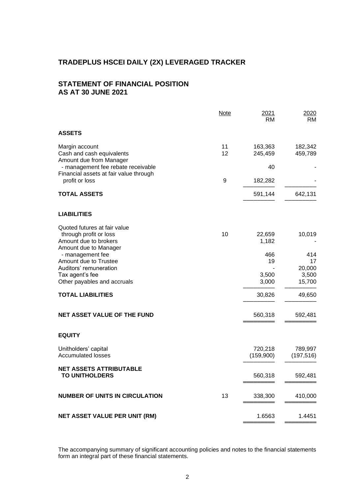## **STATEMENT OF FINANCIAL POSITION AS AT 30 JUNE 2021**

|                                                                                                          | <b>Note</b> | 2021<br>RM           | 2020<br>RM.               |
|----------------------------------------------------------------------------------------------------------|-------------|----------------------|---------------------------|
| <b>ASSETS</b>                                                                                            |             |                      |                           |
| Margin account<br>Cash and cash equivalents<br>Amount due from Manager                                   | 11<br>12    | 163,363<br>245,459   | 182,342<br>459,789        |
| - management fee rebate receivable<br>Financial assets at fair value through                             |             | 40                   |                           |
| profit or loss                                                                                           | 9           | 182,282              |                           |
| <b>TOTAL ASSETS</b>                                                                                      |             | 591,144              | 642,131                   |
| <b>LIABILITIES</b>                                                                                       |             |                      |                           |
| Quoted futures at fair value<br>through profit or loss<br>Amount due to brokers<br>Amount due to Manager | 10          | 22,659<br>1,182      | 10,019                    |
| - management fee<br>Amount due to Trustee                                                                |             | 466<br>19            | 414<br>17                 |
| Auditors' remuneration<br>Tax agent's fee<br>Other payables and accruals                                 |             | 3,500<br>3,000       | 20,000<br>3,500<br>15,700 |
| <b>TOTAL LIABILITIES</b>                                                                                 |             | 30,826               | 49,650                    |
| <b>NET ASSET VALUE OF THE FUND</b>                                                                       |             | 560,318              | 592,481                   |
| <b>EQUITY</b>                                                                                            |             |                      |                           |
| Unitholders' capital<br><b>Accumulated losses</b>                                                        |             | 720,218<br>(159,900) | 789,997<br>(197, 516)     |
| <b>NET ASSETS ATTRIBUTABLE</b><br><b>TO UNITHOLDERS</b>                                                  |             | 560,318              | 592,481                   |
| <b>NUMBER OF UNITS IN CIRCULATION</b>                                                                    | 13          | 338,300              | 410,000                   |
| <b>NET ASSET VALUE PER UNIT (RM)</b>                                                                     |             | 1.6563               | 1.4451                    |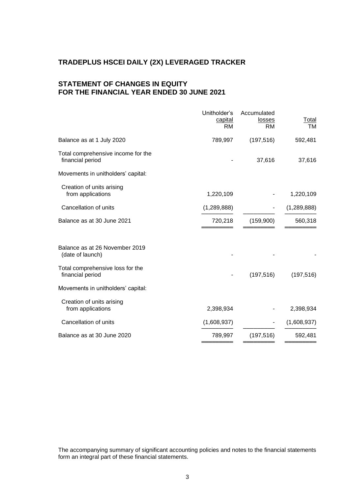## **STATEMENT OF CHANGES IN EQUITY FOR THE FINANCIAL YEAR ENDED 30 JUNE 2021**

|                                                        | Unitholder's<br>capital<br>RM | Accumulated<br>losses<br><b>RM</b> | Total<br><b>TM</b> |
|--------------------------------------------------------|-------------------------------|------------------------------------|--------------------|
| Balance as at 1 July 2020                              | 789,997                       | (197, 516)                         | 592,481            |
| Total comprehensive income for the<br>financial period |                               | 37,616                             | 37,616             |
| Movements in unitholders' capital:                     |                               |                                    |                    |
| Creation of units arising<br>from applications         | 1,220,109                     |                                    | 1,220,109          |
| Cancellation of units                                  | (1,289,888)                   |                                    | (1, 289, 888)      |
| Balance as at 30 June 2021                             | 720,218                       | (159,900)                          | 560,318            |
| Balance as at 26 November 2019<br>(date of launch)     |                               |                                    |                    |
| Total comprehensive loss for the<br>financial period   |                               | (197, 516)                         | (197, 516)         |
| Movements in unitholders' capital:                     |                               |                                    |                    |
| Creation of units arising<br>from applications         | 2,398,934                     |                                    | 2,398,934          |
| Cancellation of units                                  | (1,608,937)                   |                                    | (1,608,937)        |
| Balance as at 30 June 2020                             | 789,997                       | (197, 516)                         | 592,481            |
|                                                        |                               |                                    |                    |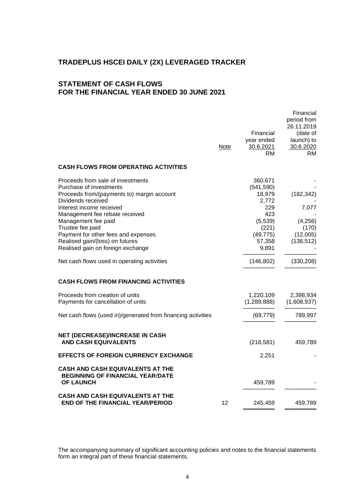## **STATEMENT OF CASH FLOWS FOR THE FINANCIAL YEAR ENDED 30 JUNE 2021**

|                                                                                                                                                                                                                                                                                                                                                          | Note              | Financial<br>year ended<br>30.6.2021<br><b>RM</b>                                                          | Financial<br>period from<br>26.11.2019<br>(date of<br>launch) to<br>30.6.2020<br>RM |
|----------------------------------------------------------------------------------------------------------------------------------------------------------------------------------------------------------------------------------------------------------------------------------------------------------------------------------------------------------|-------------------|------------------------------------------------------------------------------------------------------------|-------------------------------------------------------------------------------------|
| <b>CASH FLOWS FROM OPERATING ACTIVITIES</b>                                                                                                                                                                                                                                                                                                              |                   |                                                                                                            |                                                                                     |
| Proceeds from sale of investments<br>Purchase of investments<br>Proceeds from/(payments to) margin account<br>Dividends received<br>Interest income received<br>Management fee rebate received<br>Management fee paid<br>Trustee fee paid<br>Payment for other fees and expenses<br>Realised gain/(loss) on futures<br>Realised gain on foreign exchange |                   | 360,671<br>(541, 590)<br>18,979<br>2,772<br>229<br>423<br>(5,539)<br>(221)<br>(49, 775)<br>57,358<br>9,891 | (182, 342)<br>7,077<br>(4,256)<br>(170)<br>(12,005)<br>(138, 512)                   |
| Net cash flows used in operating activities                                                                                                                                                                                                                                                                                                              |                   | (146, 802)                                                                                                 | (330, 208)                                                                          |
| <b>CASH FLOWS FROM FINANCING ACTIVITIES</b>                                                                                                                                                                                                                                                                                                              |                   |                                                                                                            |                                                                                     |
| Proceeds from creation of units<br>Payments for cancellation of units                                                                                                                                                                                                                                                                                    |                   | 1,220,109<br>(1, 289, 888)                                                                                 | 2,398,934<br>(1,608,937)                                                            |
| Net cash flows (used in)/generated from financing activities                                                                                                                                                                                                                                                                                             |                   | (69, 779)                                                                                                  | 789,997                                                                             |
| <b>NET (DECREASE)/INCREASE IN CASH</b><br><b>AND CASH EQUIVALENTS</b>                                                                                                                                                                                                                                                                                    |                   | (216, 581)                                                                                                 | 459,789                                                                             |
| EFFECTS OF FOREIGN CURRENCY EXCHANGE                                                                                                                                                                                                                                                                                                                     |                   | 2,251                                                                                                      |                                                                                     |
| CASH AND CASH EQUIVALENTS AT THE<br><b>BEGINNING OF FINANCIAL YEAR/DATE</b><br><b>OF LAUNCH</b>                                                                                                                                                                                                                                                          |                   | 459,789                                                                                                    |                                                                                     |
| CASH AND CASH EQUIVALENTS AT THE<br><b>END OF THE FINANCIAL YEAR/PERIOD</b>                                                                                                                                                                                                                                                                              | $12 \overline{ }$ | 245,459                                                                                                    | 459,789                                                                             |
|                                                                                                                                                                                                                                                                                                                                                          |                   |                                                                                                            |                                                                                     |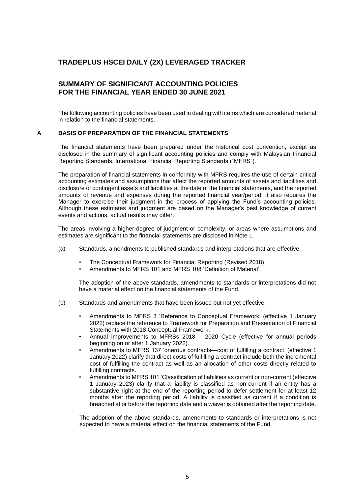## **SUMMARY OF SIGNIFICANT ACCOUNTING POLICIES FOR THE FINANCIAL YEAR ENDED 30 JUNE 2021**

The following accounting policies have been used in dealing with items which are considered material in relation to the financial statements.

#### **A BASIS OF PREPARATION OF THE FINANCIAL STATEMENTS**

The financial statements have been prepared under the historical cost convention, except as disclosed in the summary of significant accounting policies and comply with Malaysian Financial Reporting Standards, International Financial Reporting Standards ("MFRS").

The preparation of financial statements in conformity with MFRS requires the use of certain critical accounting estimates and assumptions that affect the reported amounts of assets and liabilities and disclosure of contingent assets and liabilities at the date of the financial statements, and the reported amounts of revenue and expenses during the reported financial year/period. It also requires the Manager to exercise their judgment in the process of applying the Fund's accounting policies. Although these estimates and judgment are based on the Manager's best knowledge of current events and actions, actual results may differ.

The areas involving a higher degree of judgment or complexity, or areas where assumptions and estimates are significant to the financial statements are disclosed in Note L.

- (a) Standards, amendments to published standards and interpretations that are effective:
	- The Conceptual Framework for Financial Reporting (Revised 2018)
	- Amendments to MFRS 101 and MFRS 108 'Definition of Material'

The adoption of the above standards, amendments to standards or interpretations did not have a material effect on the financial statements of the Fund.

- (b) Standards and amendments that have been issued but not yet effective:
	- Amendments to MFRS 3 'Reference to Conceptual Framework' (effective 1 January 2022) replace the reference to Framework for Preparation and Presentation of Financial Statements with 2018 Conceptual Framework.
	- Annual Improvements to MFRSs 2018 2020 Cycle (effective for annual periods beginning on or after 1 January 2022).
	- Amendments to MFRS 137 'onerous contracts—cost of fulfilling a contract' (effective 1 January 2022) clarify that direct costs of fulfilling a contract include both the incremental cost of fulfilling the contract as well as an allocation of other costs directly related to fulfilling contracts.
	- Amendments to MFRS 101 'Classification of liabilities as current or non-current (effective 1 January 2023) clarify that a liability is classified as non-current if an entity has a substantive right at the end of the reporting period to defer settlement for at least 12 months after the reporting period. A liability is classified as current if a condition is breached at or before the reporting date and a waiver is obtained after the reporting date.

The adoption of the above standards, amendments to standards or interpretations is not expected to have a material effect on the financial statements of the Fund.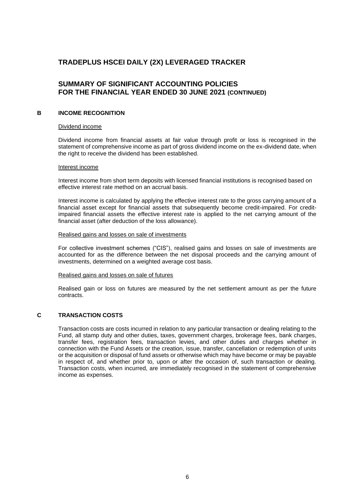## **SUMMARY OF SIGNIFICANT ACCOUNTING POLICIES FOR THE FINANCIAL YEAR ENDED 30 JUNE 2021 (CONTINUED)**

#### **B INCOME RECOGNITION**

#### Dividend income

Dividend income from financial assets at fair value through profit or loss is recognised in the statement of comprehensive income as part of gross dividend income on the ex-dividend date, when the right to receive the dividend has been established.

#### Interest income

Interest income from short term deposits with licensed financial institutions is recognised based on effective interest rate method on an accrual basis.

Interest income is calculated by applying the effective interest rate to the gross carrying amount of a financial asset except for financial assets that subsequently become credit-impaired. For creditimpaired financial assets the effective interest rate is applied to the net carrying amount of the financial asset (after deduction of the loss allowance).

#### Realised gains and losses on sale of investments

For collective investment schemes ("CIS"), realised gains and losses on sale of investments are accounted for as the difference between the net disposal proceeds and the carrying amount of investments, determined on a weighted average cost basis.

#### Realised gains and losses on sale of futures

Realised gain or loss on futures are measured by the net settlement amount as per the future contracts.

#### **C TRANSACTION COSTS**

Transaction costs are costs incurred in relation to any particular transaction or dealing relating to the Fund, all stamp duty and other duties, taxes, government charges, brokerage fees, bank charges, transfer fees, registration fees, transaction levies, and other duties and charges whether in connection with the Fund Assets or the creation, issue, transfer, cancellation or redemption of units or the acquisition or disposal of fund assets or otherwise which may have become or may be payable in respect of, and whether prior to, upon or after the occasion of, such transaction or dealing. Transaction costs, when incurred, are immediately recognised in the statement of comprehensive income as expenses.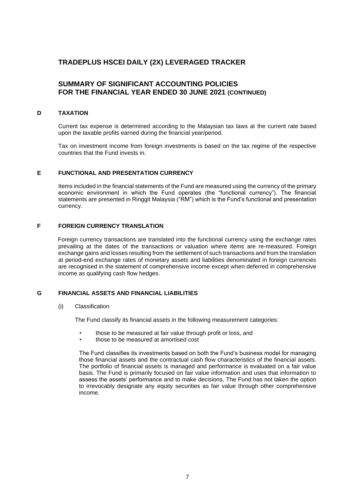## **SUMMARY OF SIGNIFICANT ACCOUNTING POLICIES FOR THE FINANCIAL YEAR ENDED 30 JUNE 2021 (CONTINUED)**

#### **D TAXATION**

Current tax expense is determined according to the Malaysian tax laws at the current rate based upon the taxable profits earned during the financial year/period.

Tax on investment income from foreign investments is based on the tax regime of the respective countries that the Fund invests in.

#### **E FUNCTIONAL AND PRESENTATION CURRENCY**

Items included in the financial statements of the Fund are measured using the currency of the primary economic environment in which the Fund operates (the "functional currency"). The financial statements are presented in Ringgit Malaysia ("RM") which is the Fund's functional and presentation currency.

#### **F FOREIGN CURRENCY TRANSLATION**

Foreign currency transactions are translated into the functional currency using the exchange rates prevailing at the dates of the transactions or valuation where items are re-measured. Foreign exchange gains and losses resulting from the settlement of such transactions and from the translation at period-end exchange rates of monetary assets and liabilities denominated in foreign currencies are recognised in the statement of comprehensive income except when deferred in comprehensive income as qualifying cash flow hedges.

#### **G FINANCIAL ASSETS AND FINANCIAL LIABILITIES**

(i) Classification

The Fund classify its financial assets in the following measurement categories:

- those to be measured at fair value through profit or loss, and
- those to be measured at amortised cost

The Fund classifies its investments based on both the Fund's business model for managing those financial assets and the contractual cash flow characteristics of the financial assets. The portfolio of financial assets is managed and performance is evaluated on a fair value basis. The Fund is primarily focused on fair value information and uses that information to assess the assets' performance and to make decisions. The Fund has not taken the option to irrevocably designate any equity securities as fair value through other comprehensive income.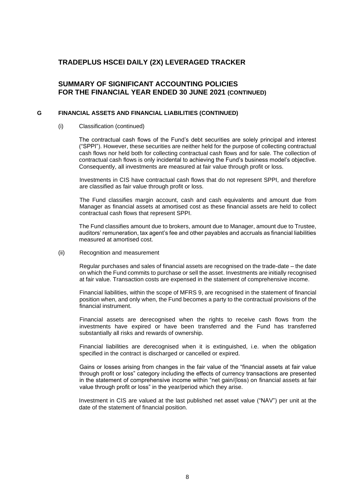## **SUMMARY OF SIGNIFICANT ACCOUNTING POLICIES FOR THE FINANCIAL YEAR ENDED 30 JUNE 2021 (CONTINUED)**

#### **G FINANCIAL ASSETS AND FINANCIAL LIABILITIES (CONTINUED)**

#### (i) Classification (continued)

The contractual cash flows of the Fund's debt securities are solely principal and interest ("SPPI"). However, these securities are neither held for the purpose of collecting contractual cash flows nor held both for collecting contractual cash flows and for sale. The collection of contractual cash flows is only incidental to achieving the Fund's business model's objective. Consequently, all investments are measured at fair value through profit or loss.

Investments in CIS have contractual cash flows that do not represent SPPI, and therefore are classified as fair value through profit or loss.

The Fund classifies margin account, cash and cash equivalents and amount due from Manager as financial assets at amortised cost as these financial assets are held to collect contractual cash flows that represent SPPI.

The Fund classifies amount due to brokers, amount due to Manager, amount due to Trustee, auditors' remuneration, tax agent's fee and other payables and accruals as financial liabilities measured at amortised cost.

#### (ii) Recognition and measurement

Regular purchases and sales of financial assets are recognised on the trade-date – the date on which the Fund commits to purchase or sell the asset. Investments are initially recognised at fair value. Transaction costs are expensed in the statement of comprehensive income.

Financial liabilities, within the scope of MFRS 9, are recognised in the statement of financial position when, and only when, the Fund becomes a party to the contractual provisions of the financial instrument.

Financial assets are derecognised when the rights to receive cash flows from the investments have expired or have been transferred and the Fund has transferred substantially all risks and rewards of ownership.

Financial liabilities are derecognised when it is extinguished, i.e. when the obligation specified in the contract is discharged or cancelled or expired.

Gains or losses arising from changes in the fair value of the "financial assets at fair value through profit or loss" category including the effects of currency transactions are presented in the statement of comprehensive income within "net gain/(loss) on financial assets at fair value through profit or loss" in the year/period which they arise.

Investment in CIS are valued at the last published net asset value ("NAV") per unit at the date of the statement of financial position.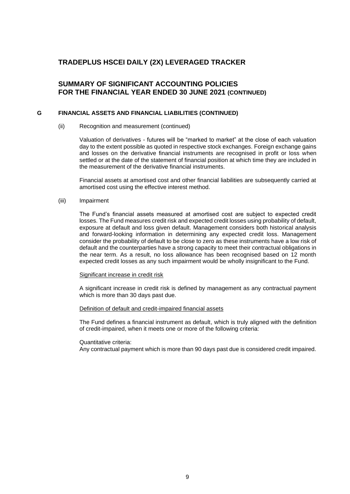## **SUMMARY OF SIGNIFICANT ACCOUNTING POLICIES FOR THE FINANCIAL YEAR ENDED 30 JUNE 2021 (CONTINUED)**

#### **G FINANCIAL ASSETS AND FINANCIAL LIABILITIES (CONTINUED)**

#### (ii) Recognition and measurement (continued)

Valuation of derivatives - futures will be "marked to market" at the close of each valuation day to the extent possible as quoted in respective stock exchanges. Foreign exchange gains and losses on the derivative financial instruments are recognised in profit or loss when settled or at the date of the statement of financial position at which time they are included in the measurement of the derivative financial instruments.

Financial assets at amortised cost and other financial liabilities are subsequently carried at amortised cost using the effective interest method.

#### (iii) Impairment

The Fund's financial assets measured at amortised cost are subject to expected credit losses. The Fund measures credit risk and expected credit losses using probability of default, exposure at default and loss given default. Management considers both historical analysis and forward-looking information in determining any expected credit loss. Management consider the probability of default to be close to zero as these instruments have a low risk of default and the counterparties have a strong capacity to meet their contractual obligations in the near term. As a result, no loss allowance has been recognised based on 12 month expected credit losses as any such impairment would be wholly insignificant to the Fund.

#### Significant increase in credit risk

A significant increase in credit risk is defined by management as any contractual payment which is more than 30 days past due.

#### Definition of default and credit-impaired financial assets

The Fund defines a financial instrument as default, which is truly aligned with the definition of credit-impaired, when it meets one or more of the following criteria:

#### Quantitative criteria:

Any contractual payment which is more than 90 days past due is considered credit impaired.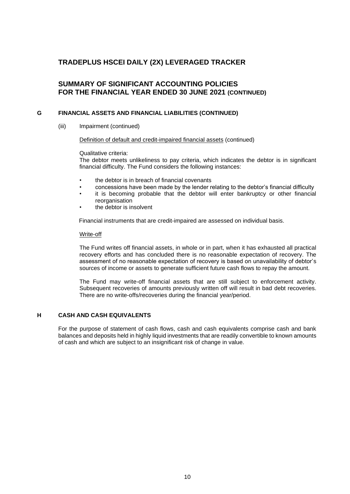## **SUMMARY OF SIGNIFICANT ACCOUNTING POLICIES FOR THE FINANCIAL YEAR ENDED 30 JUNE 2021 (CONTINUED)**

#### **G FINANCIAL ASSETS AND FINANCIAL LIABILITIES (CONTINUED)**

(iii) Impairment (continued)

#### Definition of default and credit-impaired financial assets (continued)

Qualitative criteria:

The debtor meets unlikeliness to pay criteria, which indicates the debtor is in significant financial difficulty. The Fund considers the following instances:

- the debtor is in breach of financial covenants
- concessions have been made by the lender relating to the debtor's financial difficulty
- it is becoming probable that the debtor will enter bankruptcy or other financial reorganisation
- the debtor is insolvent

Financial instruments that are credit-impaired are assessed on individual basis.

#### Write-off

The Fund writes off financial assets, in whole or in part, when it has exhausted all practical recovery efforts and has concluded there is no reasonable expectation of recovery. The assessment of no reasonable expectation of recovery is based on unavailability of debtor's sources of income or assets to generate sufficient future cash flows to repay the amount.

The Fund may write-off financial assets that are still subject to enforcement activity. Subsequent recoveries of amounts previously written off will result in bad debt recoveries. There are no write-offs/recoveries during the financial year/period.

#### **H CASH AND CASH EQUIVALENTS**

For the purpose of statement of cash flows, cash and cash equivalents comprise cash and bank balances and deposits held in highly liquid investments that are readily convertible to known amounts of cash and which are subject to an insignificant risk of change in value.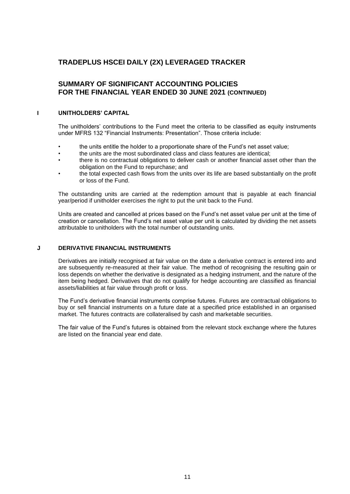## **SUMMARY OF SIGNIFICANT ACCOUNTING POLICIES FOR THE FINANCIAL YEAR ENDED 30 JUNE 2021 (CONTINUED)**

#### **I UNITHOLDERS' CAPITAL**

The unitholders' contributions to the Fund meet the criteria to be classified as equity instruments under MFRS 132 "Financial Instruments: Presentation". Those criteria include:

- the units entitle the holder to a proportionate share of the Fund's net asset value;
- the units are the most subordinated class and class features are identical;
- there is no contractual obligations to deliver cash or another financial asset other than the obligation on the Fund to repurchase; and
- the total expected cash flows from the units over its life are based substantially on the profit or loss of the Fund.

The outstanding units are carried at the redemption amount that is payable at each financial year/period if unitholder exercises the right to put the unit back to the Fund.

Units are created and cancelled at prices based on the Fund's net asset value per unit at the time of creation or cancellation. The Fund's net asset value per unit is calculated by dividing the net assets attributable to unitholders with the total number of outstanding units.

#### **J DERIVATIVE FINANCIAL INSTRUMENTS**

Derivatives are initially recognised at fair value on the date a derivative contract is entered into and are subsequently re-measured at their fair value. The method of recognising the resulting gain or loss depends on whether the derivative is designated as a hedging instrument, and the nature of the item being hedged. Derivatives that do not qualify for hedge accounting are classified as financial assets/liabilities at fair value through profit or loss.

The Fund's derivative financial instruments comprise futures. Futures are contractual obligations to buy or sell financial instruments on a future date at a specified price established in an organised market. The futures contracts are collateralised by cash and marketable securities.

The fair value of the Fund's futures is obtained from the relevant stock exchange where the futures are listed on the financial year end date.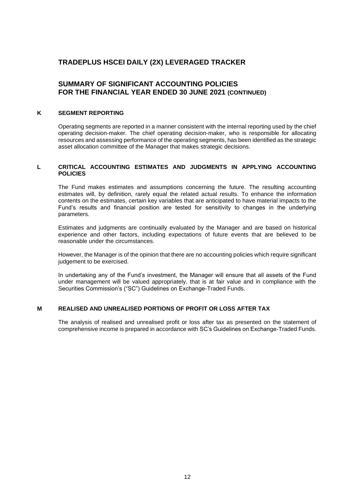## **SUMMARY OF SIGNIFICANT ACCOUNTING POLICIES FOR THE FINANCIAL YEAR ENDED 30 JUNE 2021 (CONTINUED)**

#### **K SEGMENT REPORTING**

Operating segments are reported in a manner consistent with the internal reporting used by the chief operating decision-maker. The chief operating decision-maker, who is responsible for allocating resources and assessing performance of the operating segments, has been identified as the strategic asset allocation committee of the Manager that makes strategic decisions.

#### **L CRITICAL ACCOUNTING ESTIMATES AND JUDGMENTS IN APPLYING ACCOUNTING POLICIES**

The Fund makes estimates and assumptions concerning the future. The resulting accounting estimates will, by definition, rarely equal the related actual results. To enhance the information contents on the estimates, certain key variables that are anticipated to have material impacts to the Fund's results and financial position are tested for sensitivity to changes in the underlying parameters.

Estimates and judgments are continually evaluated by the Manager and are based on historical experience and other factors, including expectations of future events that are believed to be reasonable under the circumstances.

However, the Manager is of the opinion that there are no accounting policies which require significant judgement to be exercised.

In undertaking any of the Fund's investment, the Manager will ensure that all assets of the Fund under management will be valued appropriately, that is at fair value and in compliance with the Securities Commission's ("SC") Guidelines on Exchange-Traded Funds.

#### **M REALISED AND UNREALISED PORTIONS OF PROFIT OR LOSS AFTER TAX**

The analysis of realised and unrealised profit or loss after tax as presented on the statement of comprehensive income is prepared in accordance with SC's Guidelines on Exchange-Traded Funds.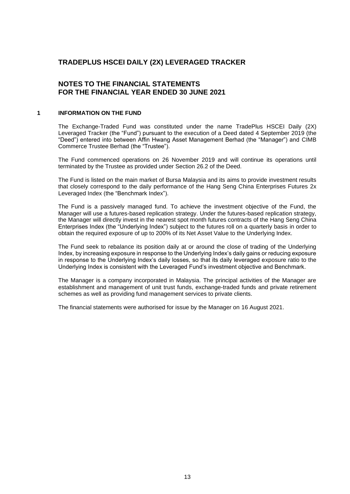## **NOTES TO THE FINANCIAL STATEMENTS FOR THE FINANCIAL YEAR ENDED 30 JUNE 2021**

#### **1 INFORMATION ON THE FUND**

The Exchange-Traded Fund was constituted under the name TradePlus HSCEI Daily (2X) Leveraged Tracker (the "Fund") pursuant to the execution of a Deed dated 4 September 2019 (the "Deed") entered into between Affin Hwang Asset Management Berhad (the "Manager") and CIMB Commerce Trustee Berhad (the "Trustee").

The Fund commenced operations on 26 November 2019 and will continue its operations until terminated by the Trustee as provided under Section 26.2 of the Deed.

The Fund is listed on the main market of Bursa Malaysia and its aims to provide investment results that closely correspond to the daily performance of the Hang Seng China Enterprises Futures 2x Leveraged Index (the "Benchmark Index").

The Fund is a passively managed fund. To achieve the investment objective of the Fund, the Manager will use a futures-based replication strategy. Under the futures-based replication strategy, the Manager will directly invest in the nearest spot month futures contracts of the Hang Seng China Enterprises Index (the "Underlying Index") subject to the futures roll on a quarterly basis in order to obtain the required exposure of up to 200% of its Net Asset Value to the Underlying Index.

The Fund seek to rebalance its position daily at or around the close of trading of the Underlying Index, by increasing exposure in response to the Underlying Index's daily gains or reducing exposure in response to the Underlying Index's daily losses, so that its daily leveraged exposure ratio to the Underlying Index is consistent with the Leveraged Fund's investment objective and Benchmark.

The Manager is a company incorporated in Malaysia. The principal activities of the Manager are establishment and management of unit trust funds, exchange-traded funds and private retirement schemes as well as providing fund management services to private clients.

The financial statements were authorised for issue by the Manager on 16 August 2021.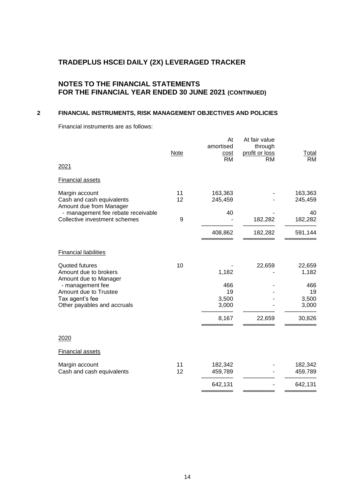## **NOTES TO THE FINANCIAL STATEMENTS FOR THE FINANCIAL YEAR ENDED 30 JUNE 2021 (CONTINUED)**

## **2 FINANCIAL INSTRUMENTS, RISK MANAGEMENT OBJECTIVES AND POLICIES**

Financial instruments are as follows:

| 2021                                                                   | <b>Note</b> | At<br>amortised<br><u>cost</u><br><b>RM</b> | At fair value<br>through<br>profit or loss<br>RM | <b>Total</b><br><b>RM</b> |
|------------------------------------------------------------------------|-------------|---------------------------------------------|--------------------------------------------------|---------------------------|
| <b>Financial assets</b>                                                |             |                                             |                                                  |                           |
| Margin account<br>Cash and cash equivalents<br>Amount due from Manager | 11<br>12    | 163,363<br>245,459                          |                                                  | 163,363<br>245,459        |
| - management fee rebate receivable<br>Collective investment schemes    | 9           | 40                                          | 182,282                                          | 40<br>182,282             |
|                                                                        |             | 408,862                                     | 182,282                                          | 591,144                   |
| <b>Financial liabilities</b>                                           |             |                                             |                                                  |                           |
| Quoted futures<br>Amount due to brokers<br>Amount due to Manager       | 10          | 1,182                                       | 22,659                                           | 22,659<br>1,182           |
| - management fee<br>Amount due to Trustee                              |             | 466<br>19                                   |                                                  | 466<br>19                 |
| Tax agent's fee<br>Other payables and accruals                         |             | 3,500<br>3,000                              |                                                  | 3,500<br>3,000            |
|                                                                        |             | 8,167                                       | 22,659                                           | 30,826                    |
| 2020                                                                   |             |                                             |                                                  |                           |
| <b>Financial assets</b>                                                |             |                                             |                                                  |                           |
| Margin account<br>Cash and cash equivalents                            | 11<br>12    | 182,342<br>459,789                          |                                                  | 182,342<br>459,789        |
|                                                                        |             | 642,131                                     |                                                  | 642,131                   |
|                                                                        |             |                                             |                                                  |                           |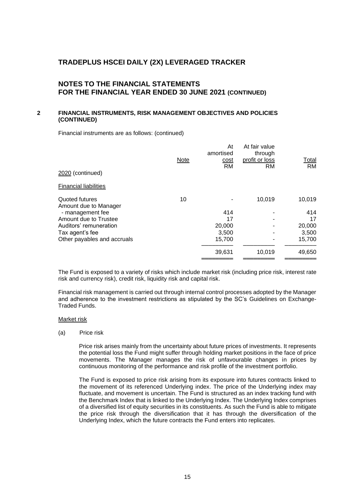## **NOTES TO THE FINANCIAL STATEMENTS FOR THE FINANCIAL YEAR ENDED 30 JUNE 2021 (CONTINUED)**

#### **2 FINANCIAL INSTRUMENTS, RISK MANAGEMENT OBJECTIVES AND POLICIES (CONTINUED)**

Financial instruments are as follows: (continued)

|                                         | <b>Note</b> | At<br>amortised<br>cost<br><b>RM</b> | At fair value<br>through<br>profit or loss<br>RM | Total<br><b>RM</b> |
|-----------------------------------------|-------------|--------------------------------------|--------------------------------------------------|--------------------|
| 2020 (continued)                        |             |                                      |                                                  |                    |
| <b>Financial liabilities</b>            |             |                                      |                                                  |                    |
| Quoted futures<br>Amount due to Manager | 10          |                                      | 10,019                                           | 10,019             |
| - management fee                        |             | 414                                  |                                                  | 414                |
| Amount due to Trustee                   |             | 17                                   |                                                  | 17                 |
| Auditors' remuneration                  |             | 20,000                               |                                                  | 20,000             |
| Tax agent's fee                         |             | 3,500                                |                                                  | 3,500              |
| Other payables and accruals             |             | 15,700                               |                                                  | 15,700             |
|                                         |             | 39,631                               | 10,019                                           | 49,650             |
|                                         |             |                                      |                                                  |                    |

The Fund is exposed to a variety of risks which include market risk (including price risk, interest rate risk and currency risk), credit risk, liquidity risk and capital risk.

Financial risk management is carried out through internal control processes adopted by the Manager and adherence to the investment restrictions as stipulated by the SC's Guidelines on Exchange-Traded Funds.

#### Market risk

(a) Price risk

Price risk arises mainly from the uncertainty about future prices of investments. It represents the potential loss the Fund might suffer through holding market positions in the face of price movements. The Manager manages the risk of unfavourable changes in prices by continuous monitoring of the performance and risk profile of the investment portfolio.

The Fund is exposed to price risk arising from its exposure into futures contracts linked to the movement of its referenced Underlying index. The price of the Underlying index may fluctuate, and movement is uncertain. The Fund is structured as an index tracking fund with the Benchmark Index that is linked to the Underlying Index. The Underlying Index comprises of a diversified list of equity securities in its constituents. As such the Fund is able to mitigate the price risk through the diversification that it has through the diversification of the Underlying Index, which the future contracts the Fund enters into replicates.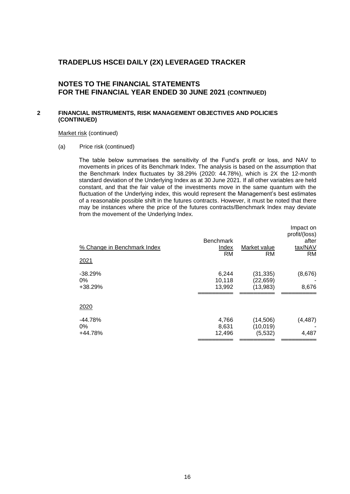## **NOTES TO THE FINANCIAL STATEMENTS FOR THE FINANCIAL YEAR ENDED 30 JUNE 2021 (CONTINUED)**

#### **2 FINANCIAL INSTRUMENTS, RISK MANAGEMENT OBJECTIVES AND POLICIES (CONTINUED)**

Market risk (continued)

(a) Price risk (continued)

The table below summarises the sensitivity of the Fund's profit or loss, and NAV to movements in prices of its Benchmark Index. The analysis is based on the assumption that the Benchmark Index fluctuates by 38.29% (2020: 44.78%), which is 2X the 12-month standard deviation of the Underlying Index as at 30 June 2021. If all other variables are held constant, and that the fair value of the investments move in the same quantum with the fluctuation of the Underlying index, this would represent the Management's best estimates of a reasonable possible shift in the futures contracts. However, it must be noted that there may be instances where the price of the futures contracts/Benchmark Index may deviate from the movement of the Underlying Index.

| % Change in Benchmark Index   | <b>Benchmark</b><br>Index | Market value                       | Impact on<br>profit/(loss)<br>after<br>tax/NAV |
|-------------------------------|---------------------------|------------------------------------|------------------------------------------------|
| 2021                          | <b>RM</b>                 | <b>RM</b>                          | <b>RM</b>                                      |
| $-38.29%$<br>$0\%$<br>+38.29% | 6,244<br>10,118<br>13,992 | (31, 335)<br>(22, 659)<br>(13,983) | (8,676)<br>8,676                               |
| 2020                          |                           |                                    |                                                |
| $-44.78%$<br>$0\%$<br>+44.78% | 4,766<br>8,631<br>12,496  | (14, 506)<br>(10, 019)<br>(5, 532) | (4, 487)<br>4,487                              |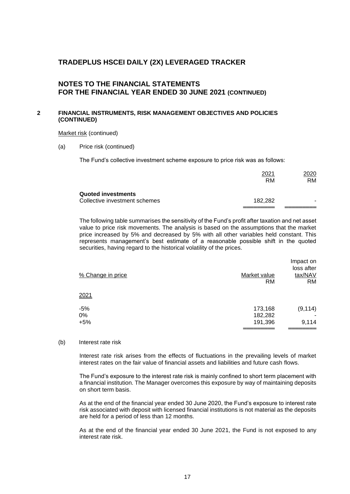## **NOTES TO THE FINANCIAL STATEMENTS FOR THE FINANCIAL YEAR ENDED 30 JUNE 2021 (CONTINUED)**

#### **2 FINANCIAL INSTRUMENTS, RISK MANAGEMENT OBJECTIVES AND POLICIES (CONTINUED)**

Market risk (continued)

(a) Price risk (continued)

The Fund's collective investment scheme exposure to price risk was as follows:

|                                                            | 2021<br>RM | 2020<br>RM. |
|------------------------------------------------------------|------------|-------------|
| <b>Quoted investments</b><br>Collective investment schemes | 182.282    |             |
|                                                            |            |             |

The following table summarises the sensitivity of the Fund's profit after taxation and net asset value to price risk movements. The analysis is based on the assumptions that the market price increased by 5% and decreased by 5% with all other variables held constant. This represents management's best estimate of a reasonable possible shift in the quoted securities, having regard to the historical volatility of the prices.

| % Change in price | Market value<br><b>RM</b> | Impact on<br>loss after<br>tax/NAV<br><b>RM</b> |
|-------------------|---------------------------|-------------------------------------------------|
| 2021              |                           |                                                 |
| $-5%$             | 173,168                   | (9, 114)                                        |
| 0%                | 182,282                   |                                                 |
| $+5%$             | 191,396                   | 9,114                                           |
|                   |                           |                                                 |

(b) Interest rate risk

Interest rate risk arises from the effects of fluctuations in the prevailing levels of market interest rates on the fair value of financial assets and liabilities and future cash flows.

The Fund's exposure to the interest rate risk is mainly confined to short term placement with a financial institution. The Manager overcomes this exposure by way of maintaining deposits on short term basis.

As at the end of the financial year ended 30 June 2020, the Fund's exposure to interest rate risk associated with deposit with licensed financial institutions is not material as the deposits are held for a period of less than 12 months.

As at the end of the financial year ended 30 June 2021, the Fund is not exposed to any interest rate risk.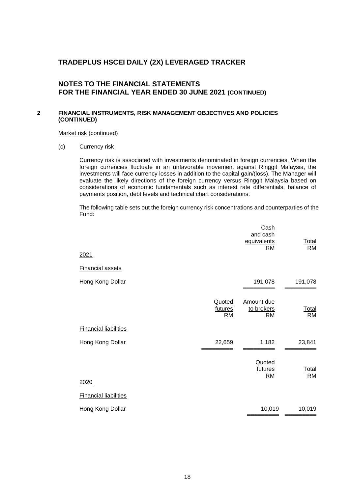## **NOTES TO THE FINANCIAL STATEMENTS FOR THE FINANCIAL YEAR ENDED 30 JUNE 2021 (CONTINUED)**

#### **2 FINANCIAL INSTRUMENTS, RISK MANAGEMENT OBJECTIVES AND POLICIES (CONTINUED)**

Market risk (continued)

(c) Currency risk

Currency risk is associated with investments denominated in foreign currencies. When the foreign currencies fluctuate in an unfavorable movement against Ringgit Malaysia, the investments will face currency losses in addition to the capital gain/(loss). The Manager will evaluate the likely directions of the foreign currency versus Ringgit Malaysia based on considerations of economic fundamentals such as interest rate differentials, balance of payments position, debt levels and technical chart considerations.

The following table sets out the foreign currency risk concentrations and counterparties of the Fund:

|                              |                         | Cash<br>and cash<br>equivalents<br><b>RM</b> | <u>Total</u><br><b>RM</b> |
|------------------------------|-------------------------|----------------------------------------------|---------------------------|
| 2021                         |                         |                                              |                           |
| <b>Financial assets</b>      |                         |                                              |                           |
| Hong Kong Dollar             |                         | 191,078                                      | 191,078                   |
|                              | Quoted<br>futures<br>RM | Amount due<br>to brokers<br><b>RM</b>        | <b>Total</b><br><b>RM</b> |
| <b>Financial liabilities</b> |                         |                                              |                           |
| Hong Kong Dollar             | 22,659                  | 1,182                                        | 23,841                    |
|                              |                         | Quoted<br>futures<br><b>RM</b>               | <b>Total</b><br><b>RM</b> |
| 2020                         |                         |                                              |                           |
| <b>Financial liabilities</b> |                         |                                              |                           |
| Hong Kong Dollar             |                         | 10,019                                       | 10,019                    |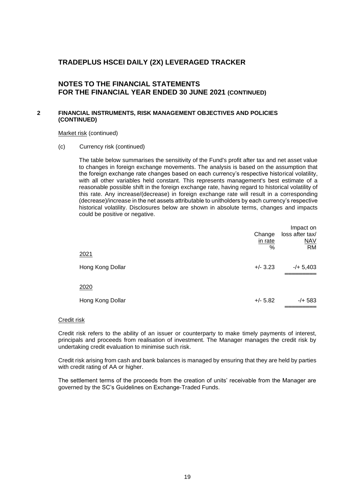## **NOTES TO THE FINANCIAL STATEMENTS FOR THE FINANCIAL YEAR ENDED 30 JUNE 2021 (CONTINUED)**

#### **2 FINANCIAL INSTRUMENTS, RISK MANAGEMENT OBJECTIVES AND POLICIES (CONTINUED)**

#### Market risk (continued)

(c) Currency risk (continued)

The table below summarises the sensitivity of the Fund's profit after tax and net asset value to changes in foreign exchange movements. The analysis is based on the assumption that the foreign exchange rate changes based on each currency's respective historical volatility, with all other variables held constant. This represents management's best estimate of a reasonable possible shift in the foreign exchange rate, having regard to historical volatility of this rate. Any increase/(decrease) in foreign exchange rate will result in a corresponding (decrease)/increase in the net assets attributable to unitholders by each currency's respective historical volatility. Disclosures below are shown in absolute terms, changes and impacts could be positive or negative.

|                  | Change<br>in rate<br>% | Impact on<br>loss after tax/<br><b>NAV</b><br><b>RM</b> |
|------------------|------------------------|---------------------------------------------------------|
| 2021             |                        |                                                         |
| Hong Kong Dollar | $+/- 3.23$             | $-/- 5,403$                                             |
| 2020             |                        |                                                         |
| Hong Kong Dollar | $+/- 5.82$             | $-/+ 583$                                               |

#### Credit risk

Credit risk refers to the ability of an issuer or counterparty to make timely payments of interest, principals and proceeds from realisation of investment. The Manager manages the credit risk by undertaking credit evaluation to minimise such risk.

Credit risk arising from cash and bank balances is managed by ensuring that they are held by parties with credit rating of AA or higher.

The settlement terms of the proceeds from the creation of units' receivable from the Manager are governed by the SC's Guidelines on Exchange-Traded Funds.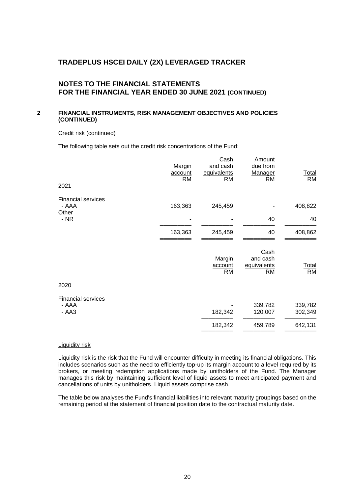## **NOTES TO THE FINANCIAL STATEMENTS FOR THE FINANCIAL YEAR ENDED 30 JUNE 2021 (CONTINUED)**

#### **2 FINANCIAL INSTRUMENTS, RISK MANAGEMENT OBJECTIVES AND POLICIES (CONTINUED)**

#### Credit risk (continued)

The following table sets out the credit risk concentrations of the Fund:

| 2021                                           | Margin<br>account<br><b>RM</b> | Cash<br>and cash<br>equivalents<br><b>RM</b> | Amount<br>due from<br>Manager<br><b>RM</b> | <b>Total</b><br><b>RM</b> |
|------------------------------------------------|--------------------------------|----------------------------------------------|--------------------------------------------|---------------------------|
| <b>Financial services</b><br>- AAA<br>Other    | 163,363                        | 245,459                                      |                                            | 408,822                   |
| $- NR$                                         |                                |                                              | 40                                         | 40                        |
|                                                | 163,363                        | 245,459                                      | 40                                         | 408,862                   |
|                                                |                                | Margin<br>account<br><b>RM</b>               | Cash<br>and cash<br>equivalents<br>RM      | <b>Total</b><br><b>RM</b> |
| 2020                                           |                                |                                              |                                            |                           |
| <b>Financial services</b><br>- AAA<br>$- A A3$ |                                | 182,342                                      | 339,782<br>120,007                         | 339,782<br>302,349        |
|                                                |                                | 182,342                                      | 459,789                                    | 642,131                   |
|                                                |                                |                                              |                                            |                           |

#### Liquidity risk

Liquidity risk is the risk that the Fund will encounter difficulty in meeting its financial obligations. This includes scenarios such as the need to efficiently top-up its margin account to a level required by its brokers, or meeting redemption applications made by unitholders of the Fund. The Manager manages this risk by maintaining sufficient level of liquid assets to meet anticipated payment and cancellations of units by unitholders. Liquid assets comprise cash.

The table below analyses the Fund's financial liabilities into relevant maturity groupings based on the remaining period at the statement of financial position date to the contractual maturity date.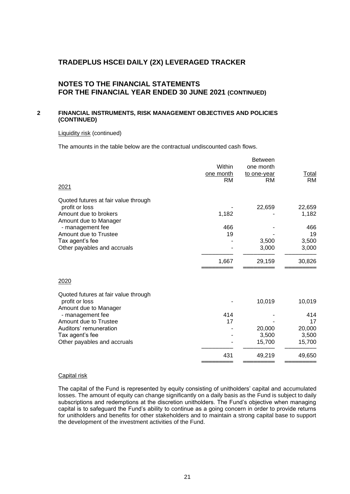## **NOTES TO THE FINANCIAL STATEMENTS FOR THE FINANCIAL YEAR ENDED 30 JUNE 2021 (CONTINUED)**

#### **2 FINANCIAL INSTRUMENTS, RISK MANAGEMENT OBJECTIVES AND POLICIES (CONTINUED)**

#### Liquidity risk (continued)

The amounts in the table below are the contractual undiscounted cash flows.

|                                      |           | <b>Between</b> |              |
|--------------------------------------|-----------|----------------|--------------|
|                                      | Within    | one month      |              |
|                                      | one month | to one-year    | <u>Total</u> |
|                                      | <b>RM</b> | RM             | <b>RM</b>    |
| 2021                                 |           |                |              |
| Quoted futures at fair value through |           |                |              |
| profit or loss                       |           | 22,659         | 22,659       |
| Amount due to brokers                | 1,182     |                | 1,182        |
| Amount due to Manager                |           |                |              |
| - management fee                     | 466       |                | 466          |
| Amount due to Trustee                | 19        |                | 19           |
| Tax agent's fee                      |           | 3,500          | 3,500        |
| Other payables and accruals          |           | 3,000          | 3,000        |
|                                      | 1,667     | 29,159         | 30,826       |
| 2020                                 |           |                |              |
| Quoted futures at fair value through |           |                |              |
| profit or loss                       |           | 10,019         | 10,019       |
| Amount due to Manager                |           |                |              |
| - management fee                     | 414       |                | 414          |
| Amount due to Trustee                | 17        |                | 17           |
| Auditors' remuneration               |           | 20,000         | 20,000       |
| Tax agent's fee                      |           | 3,500          | 3,500        |
| Other payables and accruals          |           | 15,700         | 15,700       |
|                                      | 431       | 49,219         | 49,650       |
|                                      |           |                |              |

#### Capital risk

The capital of the Fund is represented by equity consisting of unitholders' capital and accumulated losses. The amount of equity can change significantly on a daily basis as the Fund is subject to daily subscriptions and redemptions at the discretion unitholders. The Fund's objective when managing capital is to safeguard the Fund's ability to continue as a going concern in order to provide returns for unitholders and benefits for other stakeholders and to maintain a strong capital base to support the development of the investment activities of the Fund.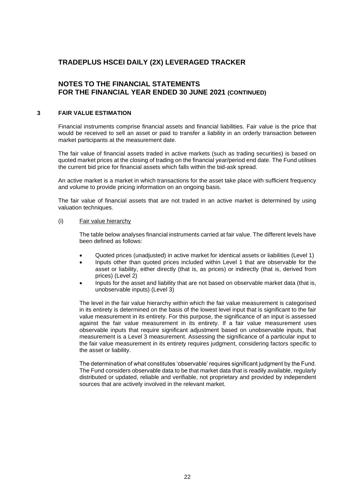## **NOTES TO THE FINANCIAL STATEMENTS FOR THE FINANCIAL YEAR ENDED 30 JUNE 2021 (CONTINUED)**

#### **3 FAIR VALUE ESTIMATION**

Financial instruments comprise financial assets and financial liabilities. Fair value is the price that would be received to sell an asset or paid to transfer a liability in an orderly transaction between market participants at the measurement date.

The fair value of financial assets traded in active markets (such as trading securities) is based on quoted market prices at the closing of trading on the financial year/period end date. The Fund utilises the current bid price for financial assets which falls within the bid-ask spread.

An active market is a market in which transactions for the asset take place with sufficient frequency and volume to provide pricing information on an ongoing basis.

The fair value of financial assets that are not traded in an active market is determined by using valuation techniques.

#### (i) Fair value hierarchy

The table below analyses financial instruments carried at fair value. The different levels have been defined as follows:

- Quoted prices (unadjusted) in active market for identical assets or liabilities (Level 1)
- Inputs other than quoted prices included within Level 1 that are observable for the asset or liability, either directly (that is, as prices) or indirectly (that is, derived from prices) (Level 2)
- Inputs for the asset and liability that are not based on observable market data (that is, unobservable inputs) (Level 3)

The level in the fair value hierarchy within which the fair value measurement is categorised in its entirety is determined on the basis of the lowest level input that is significant to the fair value measurement in its entirety. For this purpose, the significance of an input is assessed against the fair value measurement in its entirety. If a fair value measurement uses observable inputs that require significant adjustment based on unobservable inputs, that measurement is a Level 3 measurement. Assessing the significance of a particular input to the fair value measurement in its entirety requires judgment, considering factors specific to the asset or liability.

The determination of what constitutes 'observable' requires significant judgment by the Fund. The Fund considers observable data to be that market data that is readily available, regularly distributed or updated, reliable and verifiable, not proprietary and provided by independent sources that are actively involved in the relevant market.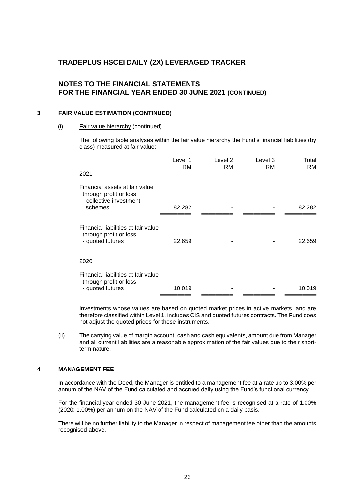## **NOTES TO THE FINANCIAL STATEMENTS FOR THE FINANCIAL YEAR ENDED 30 JUNE 2021 (CONTINUED)**

#### **3 FAIR VALUE ESTIMATION (CONTINUED)**

#### (i) Fair value hierarchy (continued)

The following table analyses within the fair value hierarchy the Fund's financial liabilities (by class) measured at fair value:

| 2021                                                                                           | Level 1<br>RM | Level 2<br><b>RM</b> | Level 3<br>RM | <u>Total</u><br><b>RM</b> |
|------------------------------------------------------------------------------------------------|---------------|----------------------|---------------|---------------------------|
| Financial assets at fair value<br>through profit or loss<br>- collective investment<br>schemes | 182,282       |                      |               | 182,282                   |
| Financial liabilities at fair value<br>through profit or loss<br>- quoted futures              | 22,659        |                      |               | 22,659                    |
| <u> 2020</u>                                                                                   |               |                      |               |                           |
| Financial liabilities at fair value<br>through profit or loss<br>- quoted futures              | 10,019        |                      |               | 10,019                    |

Investments whose values are based on quoted market prices in active markets, and are therefore classified within Level 1, includes CIS and quoted futures contracts. The Fund does not adjust the quoted prices for these instruments.

(ii) The carrying value of margin account, cash and cash equivalents, amount due from Manager and all current liabilities are a reasonable approximation of the fair values due to their shortterm nature.

#### **4 MANAGEMENT FEE**

In accordance with the Deed, the Manager is entitled to a management fee at a rate up to 3.00% per annum of the NAV of the Fund calculated and accrued daily using the Fund's functional currency.

For the financial year ended 30 June 2021, the management fee is recognised at a rate of 1.00% (2020: 1.00%) per annum on the NAV of the Fund calculated on a daily basis.

There will be no further liability to the Manager in respect of management fee other than the amounts recognised above.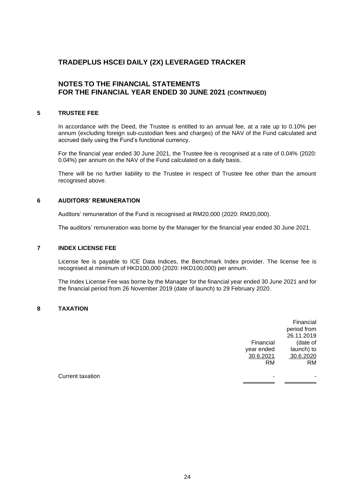## **NOTES TO THE FINANCIAL STATEMENTS FOR THE FINANCIAL YEAR ENDED 30 JUNE 2021 (CONTINUED)**

#### **5 TRUSTEE FEE**

In accordance with the Deed, the Trustee is entitled to an annual fee, at a rate up to 0.10% per annum (excluding foreign sub-custodian fees and charges) of the NAV of the Fund calculated and accrued daily using the Fund's functional currency.

For the financial year ended 30 June 2021, the Trustee fee is recognised at a rate of 0.04% (2020: 0.04%) per annum on the NAV of the Fund calculated on a daily basis.

There will be no further liability to the Trustee in respect of Trustee fee other than the amount recognised above.

#### **6 AUDITORS' REMUNERATION**

Auditors' remuneration of the Fund is recognised at RM20,000 (2020: RM20,000).

The auditors' remuneration was borne by the Manager for the financial year ended 30 June 2021.

#### **7 INDEX LICENSE FEE**

License fee is payable to ICE Data Indices, the Benchmark Index provider. The license fee is recognised at minimum of HKD100,000 (2020: HKD100,000) per annum.

The Index License Fee was borne by the Manager for the financial year ended 30 June 2021 and for the financial period from 26 November 2019 (date of launch) to 29 February 2020.

#### **8 TAXATION**

|                         |            | Financial<br>period from<br>26.11.2019 |
|-------------------------|------------|----------------------------------------|
|                         | Financial  | (date of                               |
|                         | year ended | launch) to                             |
|                         | 30.6.2021  | 30.6.2020                              |
|                         | <b>RM</b>  | <b>RM</b>                              |
| <b>Current taxation</b> | -          | -                                      |
|                         |            |                                        |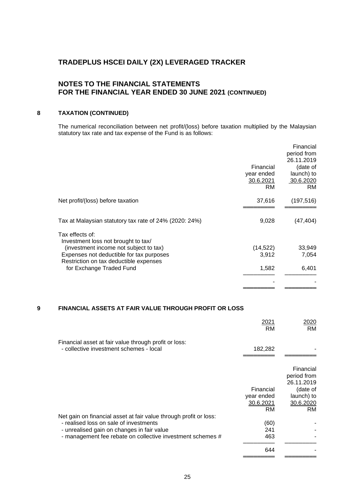## **NOTES TO THE FINANCIAL STATEMENTS FOR THE FINANCIAL YEAR ENDED 30 JUNE 2021 (CONTINUED)**

## **8 TAXATION (CONTINUED)**

The numerical reconciliation between net profit/(loss) before taxation multiplied by the Malaysian statutory tax rate and tax expense of the Fund is as follows:

|                                                                                    | Financial<br>year ended<br>30.6.2021<br>RM | Financial<br>period from<br>26.11.2019<br>(date of<br>launch) to<br>30.6.2020<br><b>RM</b> |
|------------------------------------------------------------------------------------|--------------------------------------------|--------------------------------------------------------------------------------------------|
| Net profit/(loss) before taxation                                                  | 37,616                                     | (197, 516)                                                                                 |
| Tax at Malaysian statutory tax rate of 24% (2020: 24%)                             | 9,028                                      | (47, 404)                                                                                  |
| Tax effects of:<br>Investment loss not brought to tax/                             |                                            |                                                                                            |
| (investment income not subject to tax)<br>Expenses not deductible for tax purposes | (14, 522)<br>3,912                         | 33,949<br>7,054                                                                            |
| Restriction on tax deductible expenses<br>for Exchange Traded Fund                 | 1,582                                      | 6,401                                                                                      |
|                                                                                    |                                            |                                                                                            |
|                                                                                    |                                            |                                                                                            |

#### **9 FINANCIAL ASSETS AT FAIR VALUE THROUGH PROFIT OR LOSS**

|                                                                                                                                                                                                                         | 2021<br><b>RM</b>                    | 2020<br><b>RM</b>                                                             |
|-------------------------------------------------------------------------------------------------------------------------------------------------------------------------------------------------------------------------|--------------------------------------|-------------------------------------------------------------------------------|
| Financial asset at fair value through profit or loss:<br>- collective investment schemes - local                                                                                                                        | 182,282                              |                                                                               |
|                                                                                                                                                                                                                         | Financial<br>year ended<br>30.6.2021 | Financial<br>period from<br>26.11.2019<br>(date of<br>launch) to<br>30.6.2020 |
| Net gain on financial asset at fair value through profit or loss:<br>- realised loss on sale of investments<br>- unrealised gain on changes in fair value<br>- management fee rebate on collective investment schemes # | <b>RM</b><br>(60)<br>241<br>463      | <b>RM</b>                                                                     |
|                                                                                                                                                                                                                         | 644                                  |                                                                               |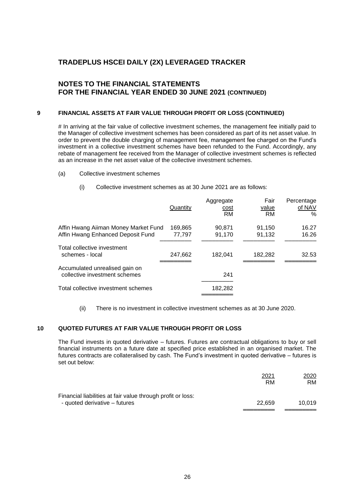## **NOTES TO THE FINANCIAL STATEMENTS FOR THE FINANCIAL YEAR ENDED 30 JUNE 2021 (CONTINUED)**

#### **9 FINANCIAL ASSETS AT FAIR VALUE THROUGH PROFIT OR LOSS (CONTINUED)**

# In arriving at the fair value of collective investment schemes, the management fee initially paid to the Manager of collective investment schemes has been considered as part of its net asset value. In order to prevent the double charging of management fee, management fee charged on the Fund's investment in a collective investment schemes have been refunded to the Fund. Accordingly, any rebate of management fee received from the Manager of collective investment schemes is reflected as an increase in the net asset value of the collective investment schemes.

- (a) Collective investment schemes
	- (i) Collective investment schemes as at 30 June 2021 are as follows:

|                                                                 | Quantity | Aggregate<br>cost<br><b>RM</b> | Fair<br>value<br>RM | Percentage<br>of NAV<br>% |
|-----------------------------------------------------------------|----------|--------------------------------|---------------------|---------------------------|
| Affin Hwang Aiiman Money Market Fund                            | 169,865  | 90.871                         | 91.150              | 16.27                     |
| Affin Hwang Enhanced Deposit Fund                               | 77,797   | 91.170                         | 91.132              | 16.26                     |
| Total collective investment<br>schemes - local                  | 247.662  | 182.041                        | 182.282             | 32.53                     |
| Accumulated unrealised gain on<br>collective investment schemes |          | 241                            |                     |                           |
| Total collective investment schemes                             |          | 182,282                        |                     |                           |
|                                                                 |          |                                |                     |                           |

(ii) There is no investment in collective investment schemes as at 30 June 2020.

#### **10 QUOTED FUTURES AT FAIR VALUE THROUGH PROFIT OR LOSS**

The Fund invests in quoted derivative – futures. Futures are contractual obligations to buy or sell financial instruments on a future date at specified price established in an organised market. The futures contracts are collateralised by cash. The Fund's investment in quoted derivative – futures is set out below:

|                                                             | 2021<br>RM | 2020<br>RM. |
|-------------------------------------------------------------|------------|-------------|
| Financial liabilities at fair value through profit or loss: |            |             |
| - quoted derivative – futures                               | 22.659     | 10.019      |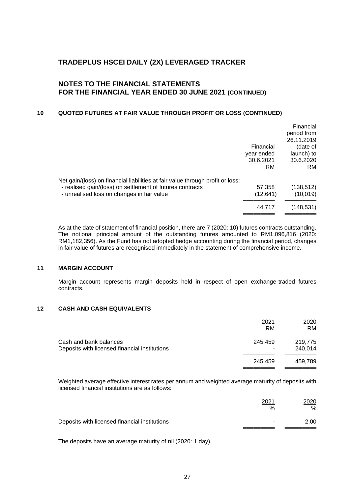## **NOTES TO THE FINANCIAL STATEMENTS FOR THE FINANCIAL YEAR ENDED 30 JUNE 2021 (CONTINUED)**

## **10 QUOTED FUTURES AT FAIR VALUE THROUGH PROFIT OR LOSS (CONTINUED)**

|                                                                                |            | Financial   |
|--------------------------------------------------------------------------------|------------|-------------|
|                                                                                |            | period from |
|                                                                                |            | 26.11.2019  |
|                                                                                | Financial  | (date of    |
|                                                                                | year ended | launch) to  |
|                                                                                | 30.6.2021  | 30.6.2020   |
|                                                                                | RM         | RM.         |
| Net gain/(loss) on financial liabilities at fair value through profit or loss: |            |             |
| - realised gain/(loss) on settlement of futures contracts                      | 57,358     | (138, 512)  |
| - unrealised loss on changes in fair value                                     | (12, 641)  | (10, 019)   |
|                                                                                | 44.717     | (148,531)   |
|                                                                                |            |             |

As at the date of statement of financial position, there are 7 (2020: 10) futures contracts outstanding. The notional principal amount of the outstanding futures amounted to RM1,096,816 (2020: RM1,182,356). As the Fund has not adopted hedge accounting during the financial period, changes in fair value of futures are recognised immediately in the statement of comprehensive income.

#### **11 MARGIN ACCOUNT**

Margin account represents margin deposits held in respect of open exchange-traded futures contracts.

#### **12 CASH AND CASH EQUIVALENTS**

|                                                                         | 2021<br>RM   | 2020<br><b>RM</b>  |
|-------------------------------------------------------------------------|--------------|--------------------|
| Cash and bank balances<br>Deposits with licensed financial institutions | 245,459<br>۰ | 219,775<br>240,014 |
|                                                                         | 245.459      | 459.789            |

Weighted average effective interest rates per annum and weighted average maturity of deposits with licensed financial institutions are as follows:

|                                               | 2021<br>%                | 2020<br>$\%$ |
|-----------------------------------------------|--------------------------|--------------|
| Deposits with licensed financial institutions | $\overline{\phantom{a}}$ | 2.00         |

The deposits have an average maturity of nil (2020: 1 day).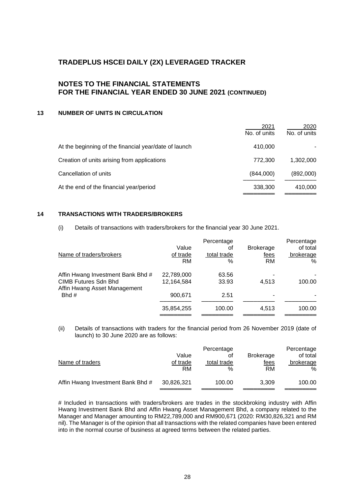## **NOTES TO THE FINANCIAL STATEMENTS FOR THE FINANCIAL YEAR ENDED 30 JUNE 2021 (CONTINUED)**

## **13 NUMBER OF UNITS IN CIRCULATION**

|                                                       | 2021<br>No. of units | 2020<br>No. of units |
|-------------------------------------------------------|----------------------|----------------------|
| At the beginning of the financial year/date of launch | 410,000              |                      |
| Creation of units arising from applications           | 772,300              | 1,302,000            |
| Cancellation of units                                 | (844,000)            | (892,000)            |
| At the end of the financial year/period               | 338,300              | 410,000              |

#### **14 TRANSACTIONS WITH TRADERS/BROKERS**

(i) Details of transactions with traders/brokers for the financial year 30 June 2021.

| Name of traders/brokers                                                                          | Value<br>of trade<br>RM  | Percentage<br>оt<br>total trade<br>% | <b>Brokerage</b><br>fees<br>RM | Percentage<br>of total<br>brokerage<br>% |
|--------------------------------------------------------------------------------------------------|--------------------------|--------------------------------------|--------------------------------|------------------------------------------|
| Affin Hwang Investment Bank Bhd #<br><b>CIMB Futures Sdn Bhd</b><br>Affin Hwang Asset Management | 22,789,000<br>12,164,584 | 63.56<br>33.93                       | 4,513                          | 100.00                                   |
| Bhd $#$                                                                                          | 900,671                  | 2.51                                 |                                |                                          |
|                                                                                                  | 35,854,255               | 100.00                               | 4.513                          | 100.00                                   |

(ii) Details of transactions with traders for the financial period from 26 November 2019 (date of launch) to 30 June 2020 are as follows:

|                                   |            | Percentage  |                  | Percentage |
|-----------------------------------|------------|-------------|------------------|------------|
|                                   | Value      | οt          | <b>Brokerage</b> | of total   |
| Name of traders                   | of trade   | total trade | fees             | brokerage  |
|                                   | RM         | $\%$        | RM               | %          |
| Affin Hwang Investment Bank Bhd # | 30,826,321 | 100.00      | 3.309            | 100.00     |

# Included in transactions with traders/brokers are trades in the stockbroking industry with Affin Hwang Investment Bank Bhd and Affin Hwang Asset Management Bhd, a company related to the Manager and Manager amounting to RM22,789,000 and RM900,671 (2020: RM30,826,321 and RM nil). The Manager is of the opinion that all transactions with the related companies have been entered into in the normal course of business at agreed terms between the related parties.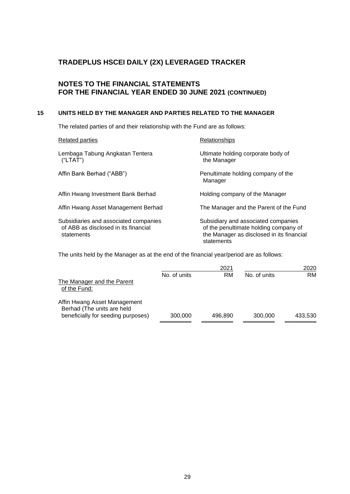## **NOTES TO THE FINANCIAL STATEMENTS FOR THE FINANCIAL YEAR ENDED 30 JUNE 2021 (CONTINUED)**

#### **15 UNITS HELD BY THE MANAGER AND PARTIES RELATED TO THE MANAGER**

The related parties of and their relationship with the Fund are as follows:

| <b>Related parties</b>                                                                      | Relationships                                                                                                                           |
|---------------------------------------------------------------------------------------------|-----------------------------------------------------------------------------------------------------------------------------------------|
| Lembaga Tabung Angkatan Tentera<br>("LTAT")                                                 | Ultimate holding corporate body of<br>the Manager                                                                                       |
| Affin Bank Berhad ("ABB")                                                                   | Penultimate holding company of the<br>Manager                                                                                           |
| Affin Hwang Investment Bank Berhad                                                          | Holding company of the Manager                                                                                                          |
| Affin Hwang Asset Management Berhad                                                         | The Manager and the Parent of the Fund                                                                                                  |
| Subsidiaries and associated companies<br>of ABB as disclosed in its financial<br>statements | Subsidiary and associated companies<br>of the penultimate holding company of<br>the Manager as disclosed in its financial<br>statements |

The units held by the Manager as at the end of the financial year/period are as follows:

|                                                                                                  |              | 2021      |              | 2020      |
|--------------------------------------------------------------------------------------------------|--------------|-----------|--------------|-----------|
| The Manager and the Parent<br>of the Fund:                                                       | No. of units | <b>RM</b> | No. of units | <b>RM</b> |
| Affin Hwang Asset Management<br>Berhad (The units are held<br>beneficially for seeding purposes) | 300,000      | 496.890   | 300,000      | 433.530   |
|                                                                                                  |              |           |              |           |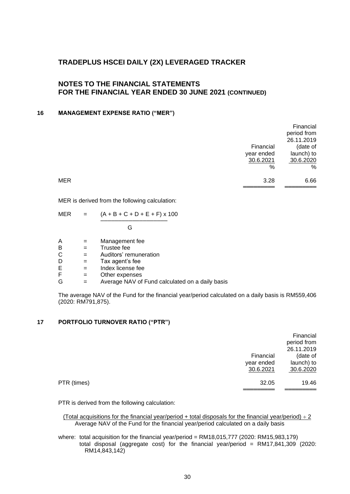## **NOTES TO THE FINANCIAL STATEMENTS FOR THE FINANCIAL YEAR ENDED 30 JUNE 2021 (CONTINUED)**

#### **16 MANAGEMENT EXPENSE RATIO ("MER")**

|                    | Financial   |
|--------------------|-------------|
|                    | period from |
|                    | 26.11.2019  |
| Financial          | (date of    |
| year ended         | launch) to  |
| 30.6.2021          | 30.6.2020   |
| %                  | %           |
| <b>MER</b><br>3.28 | 6.66        |
|                    |             |

MER is derived from the following calculation:

| MER | $\equiv$ | $(A + B + C + D + E + F) \times 100$ |
|-----|----------|--------------------------------------|
|     |          |                                      |

G

- $A =$  Management fee<br>B = Trustee fee
- $\begin{array}{ccc} B & = & \text{Trustee fee} \\ C & = & \text{Auditors' rer} \end{array}$

 $C =$  Auditors' remuneration<br> $D =$  Tax agent's fee

- $D =$ Tax agent's fee<br>E = Index license fee
- $E$  = Index license fee<br> $E$  = Other expenses
- $F =$  Other expenses<br>  $G =$  Average NAV of
- $=$  Average NAV of Fund calculated on a daily basis

The average NAV of the Fund for the financial year/period calculated on a daily basis is RM559,406 (2020: RM791,875).

#### **17 PORTFOLIO TURNOVER RATIO ("PTR")**

|             |            | Financial   |
|-------------|------------|-------------|
|             |            | period from |
|             |            | 26.11.2019  |
|             | Financial  | (date of    |
|             | year ended | launch) to  |
|             | 30.6.2021  | 30.6.2020   |
| PTR (times) | 32.05      | 19.46       |
|             |            |             |

PTR is derived from the following calculation:

(Total acquisitions for the financial year/period + total disposals for the financial year/period)  $\div$  2 Average NAV of the Fund for the financial year/period calculated on a daily basis

where: total acquisition for the financial year/period = RM18,015,777 (2020: RM15,983,179) total disposal (aggregate cost) for the financial year/period = RM17,841,309 (2020: RM14,843,142)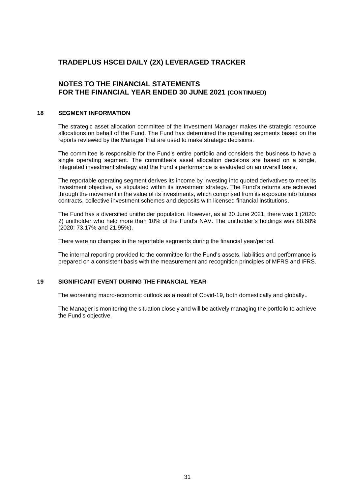## **NOTES TO THE FINANCIAL STATEMENTS FOR THE FINANCIAL YEAR ENDED 30 JUNE 2021 (CONTINUED)**

#### **18 SEGMENT INFORMATION**

The strategic asset allocation committee of the Investment Manager makes the strategic resource allocations on behalf of the Fund. The Fund has determined the operating segments based on the reports reviewed by the Manager that are used to make strategic decisions.

The committee is responsible for the Fund's entire portfolio and considers the business to have a single operating segment. The committee's asset allocation decisions are based on a single, integrated investment strategy and the Fund's performance is evaluated on an overall basis.

The reportable operating segment derives its income by investing into quoted derivatives to meet its investment objective, as stipulated within its investment strategy. The Fund's returns are achieved through the movement in the value of its investments, which comprised from its exposure into futures contracts, collective investment schemes and deposits with licensed financial institutions.

The Fund has a diversified unitholder population. However, as at 30 June 2021, there was 1 (2020: 2) unitholder who held more than 10% of the Fund's NAV. The unitholder's holdings was 88.68% (2020: 73.17% and 21.95%).

There were no changes in the reportable segments during the financial year/period.

The internal reporting provided to the committee for the Fund's assets, liabilities and performance is prepared on a consistent basis with the measurement and recognition principles of MFRS and IFRS.

#### **19 SIGNIFICANT EVENT DURING THE FINANCIAL YEAR**

The worsening macro-economic outlook as a result of Covid-19, both domestically and globally..

The Manager is monitoring the situation closely and will be actively managing the portfolio to achieve the Fund's objective.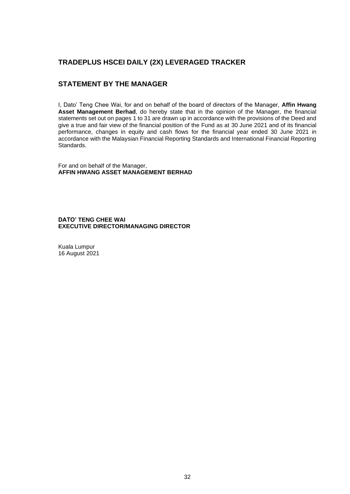## **STATEMENT BY THE MANAGER**

I, Dato' Teng Chee Wai, for and on behalf of the board of directors of the Manager, **Affin Hwang Asset Management Berhad**, do hereby state that in the opinion of the Manager, the financial statements set out on pages 1 to 31 are drawn up in accordance with the provisions of the Deed and give a true and fair view of the financial position of the Fund as at 30 June 2021 and of its financial performance, changes in equity and cash flows for the financial year ended 30 June 2021 in accordance with the Malaysian Financial Reporting Standards and International Financial Reporting Standards.

For and on behalf of the Manager, **AFFIN HWANG ASSET MANAGEMENT BERHAD** 

**DATO' TENG CHEE WAI EXECUTIVE DIRECTOR/MANAGING DIRECTOR**

Kuala Lumpur 16 August 2021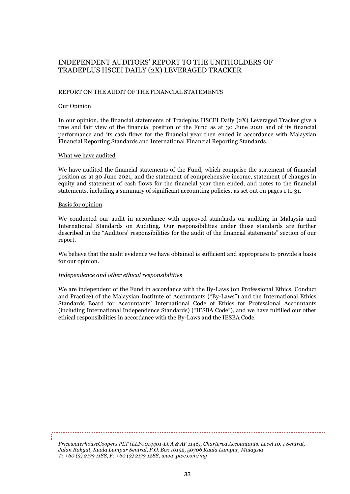#### REPORT ON THE AUDIT OF THE FINANCIAL STATEMENTS

#### Our Opinion

In our opinion, the financial statements of Tradeplus HSCEI Daily (2X) Leveraged Tracker give a true and fair view of the financial position of the Fund as at 30 June 2021 and of its financial performance and its cash flows for the financial year then ended in accordance with Malaysian Financial Reporting Standards and International Financial Reporting Standards.

#### What we have audited

We have audited the financial statements of the Fund, which comprise the statement of financial position as at 30 June 2021, and the statement of comprehensive income, statement of changes in equity and statement of cash flows for the financial year then ended, and notes to the financial statements, including a summary of significant accounting policies, as set out on pages 1 to 31.

#### Basis for opinion

We conducted our audit in accordance with approved standards on auditing in Malaysia and International Standards on Auditing. Our responsibilities under those standards are further described in the "Auditors' responsibilities for the audit of the financial statements" section of our report.

We believe that the audit evidence we have obtained is sufficient and appropriate to provide a basis for our opinion.

#### *Independence and other ethical responsibilities*

We are independent of the Fund in accordance with the By-Laws (on Professional Ethics, Conduct and Practice) of the Malaysian Institute of Accountants ("By-Laws") and the International Ethics Standards Board for Accountants' International Code of Ethics for Professional Accountants (including International Independence Standards) ("IESBA Code"), and we have fulfilled our other ethical responsibilities in accordance with the By-Laws and the IESBA Code.

*PricewaterhouseCoopers PLT (LLP0014401-LCA & AF 1146), Chartered Accountants, Level 10, 1 Sentral, Jalan Rakyat, Kuala Lumpur Sentral, P.O. Box 10192, 50706 Kuala Lumpur, Malaysia T: +60 (3) 2173 1188, F: +60 (3) 2173 1288, www.pwc.com/my*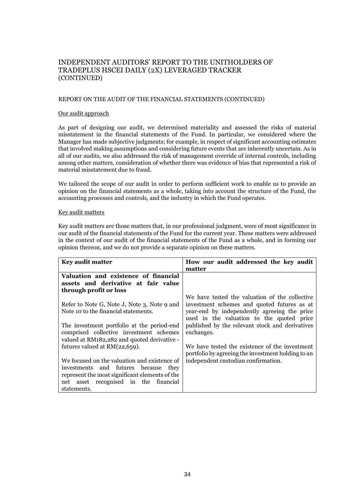#### REPORT ON THE AUDIT OF THE FINANCIAL STATEMENTS (CONTINUED)

#### Our audit approach

As part of designing our audit, we determined materiality and assessed the risks of material misstatement in the financial statements of the Fund. In particular, we considered where the Manager has made subjective judgments; for example, in respect of significant accounting estimates that involved making assumptions and considering future events that are inherently uncertain. As in all of our audits, we also addressed the risk of management override of internal controls, including among other matters, consideration of whether there was evidence of bias that represented a risk of material misstatement due to fraud.

We tailored the scope of our audit in order to perform sufficient work to enable us to provide an opinion on the financial statements as a whole, taking into account the structure of the Fund, the accounting processes and controls, and the industry in which the Fund operates.

#### Key audit matters

Key audit matters are those matters that, in our professional judgment, were of most significance in our audit of the financial statements of the Fund for the current year. These matters were addressed in the context of our audit of the financial statements of the Fund as a whole, and in forming our opinion thereon, and we do not provide a separate opinion on these matters.

| <b>Key audit matter</b>                        | How our audit addressed the key audit              |  |
|------------------------------------------------|----------------------------------------------------|--|
|                                                | matter                                             |  |
| Valuation and existence of financial           |                                                    |  |
| assets and derivative at fair value            |                                                    |  |
| through profit or loss                         |                                                    |  |
|                                                | We have tested the valuation of the collective     |  |
| Refer to Note G, Note J, Note 3, Note 9 and    | investment schemes and quoted futures as at        |  |
| Note 10 to the financial statements.           | year-end by independently agreeing the price       |  |
|                                                | used in the valuation to the quoted price          |  |
| The investment portfolio at the period-end     | published by the relevant stock and derivatives    |  |
| comprised collective investment schemes        | exchanges.                                         |  |
| valued at RM182,282 and quoted derivative -    |                                                    |  |
| futures valued at $RM(22,659)$ .               | We have tested the existence of the investment     |  |
|                                                | portfolio by agreeing the investment holding to an |  |
| We focused on the valuation and existence of   | independent custodian confirmation.                |  |
| investments and futures because<br>they        |                                                    |  |
| represent the most significant elements of the |                                                    |  |
| net asset recognised in the financial          |                                                    |  |
| statements.                                    |                                                    |  |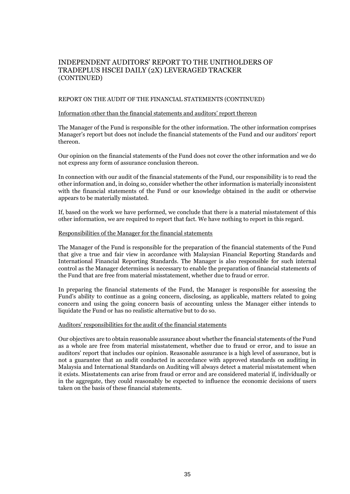#### REPORT ON THE AUDIT OF THE FINANCIAL STATEMENTS (CONTINUED)

#### Information other than the financial statements and auditors' report thereon

The Manager of the Fund is responsible for the other information. The other information comprises Manager's report but does not include the financial statements of the Fund and our auditors' report thereon.

Our opinion on the financial statements of the Fund does not cover the other information and we do not express any form of assurance conclusion thereon.

In connection with our audit of the financial statements of the Fund, our responsibility is to read the other information and, in doing so, consider whether the other information is materially inconsistent with the financial statements of the Fund or our knowledge obtained in the audit or otherwise appears to be materially misstated.

If, based on the work we have performed, we conclude that there is a material misstatement of this other information, we are required to report that fact. We have nothing to report in this regard.

#### Responsibilities of the Manager for the financial statements

The Manager of the Fund is responsible for the preparation of the financial statements of the Fund that give a true and fair view in accordance with Malaysian Financial Reporting Standards and International Financial Reporting Standards. The Manager is also responsible for such internal control as the Manager determines is necessary to enable the preparation of financial statements of the Fund that are free from material misstatement, whether due to fraud or error.

In preparing the financial statements of the Fund, the Manager is responsible for assessing the Fund's ability to continue as a going concern, disclosing, as applicable, matters related to going concern and using the going concern basis of accounting unless the Manager either intends to liquidate the Fund or has no realistic alternative but to do so.

#### Auditors' responsibilities for the audit of the financial statements

Our objectives are to obtain reasonable assurance about whether the financial statements of the Fund as a whole are free from material misstatement, whether due to fraud or error, and to issue an auditors' report that includes our opinion. Reasonable assurance is a high level of assurance, but is not a guarantee that an audit conducted in accordance with approved standards on auditing in Malaysia and International Standards on Auditing will always detect a material misstatement when it exists. Misstatements can arise from fraud or error and are considered material if, individually or in the aggregate, they could reasonably be expected to influence the economic decisions of users taken on the basis of these financial statements.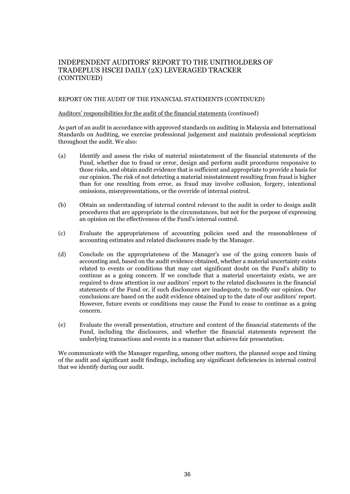#### REPORT ON THE AUDIT OF THE FINANCIAL STATEMENTS (CONTINUED)

#### Auditors' responsibilities for the audit of the financial statements (continued)

As part of an audit in accordance with approved standards on auditing in Malaysia and International Standards on Auditing, we exercise professional judgement and maintain professional scepticism throughout the audit. We also:

- (a) Identify and assess the risks of material misstatement of the financial statements of the Fund, whether due to fraud or error, design and perform audit procedures responsive to those risks, and obtain audit evidence that is sufficient and appropriate to provide a basis for our opinion. The risk of not detecting a material misstatement resulting from fraud is higher than for one resulting from error, as fraud may involve collusion, forgery, intentional omissions, misrepresentations, or the override of internal control.
- (b) Obtain an understanding of internal control relevant to the audit in order to design audit procedures that are appropriate in the circumstances, but not for the purpose of expressing an opinion on the effectiveness of the Fund's internal control.
- (c) Evaluate the appropriateness of accounting policies used and the reasonableness of accounting estimates and related disclosures made by the Manager.
- (d) Conclude on the appropriateness of the Manager's use of the going concern basis of accounting and, based on the audit evidence obtained, whether a material uncertainty exists related to events or conditions that may cast significant doubt on the Fund's ability to continue as a going concern. If we conclude that a material uncertainty exists, we are required to draw attention in our auditors' report to the related disclosures in the financial statements of the Fund or, if such disclosures are inadequate, to modify our opinion. Our conclusions are based on the audit evidence obtained up to the date of our auditors' report. However, future events or conditions may cause the Fund to cease to continue as a going concern.
- (e) Evaluate the overall presentation, structure and content of the financial statements of the Fund, including the disclosures, and whether the financial statements represent the underlying transactions and events in a manner that achieves fair presentation.

We communicate with the Manager regarding, among other matters, the planned scope and timing of the audit and significant audit findings, including any significant deficiencies in internal control that we identify during our audit.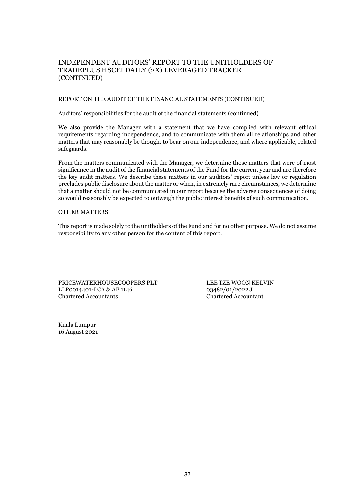#### REPORT ON THE AUDIT OF THE FINANCIAL STATEMENTS (CONTINUED)

#### Auditors' responsibilities for the audit of the financial statements (continued)

We also provide the Manager with a statement that we have complied with relevant ethical requirements regarding independence, and to communicate with them all relationships and other matters that may reasonably be thought to bear on our independence, and where applicable, related safeguards.

From the matters communicated with the Manager, we determine those matters that were of most significance in the audit of the financial statements of the Fund for the current year and are therefore the key audit matters. We describe these matters in our auditors' report unless law or regulation precludes public disclosure about the matter or when, in extremely rare circumstances, we determine that a matter should not be communicated in our report because the adverse consequences of doing so would reasonably be expected to outweigh the public interest benefits of such communication.

#### OTHER MATTERS

This report is made solely to the unitholders of the Fund and for no other purpose. We do not assume responsibility to any other person for the content of this report.

PRICEWATERHOUSECOOPERS PLT LEE TZE WOON KELVIN LLP0014401-LCA & AF 1146 03482/01/2022 J Chartered Accountants Chartered Accountant

Kuala Lumpur 16 August 2021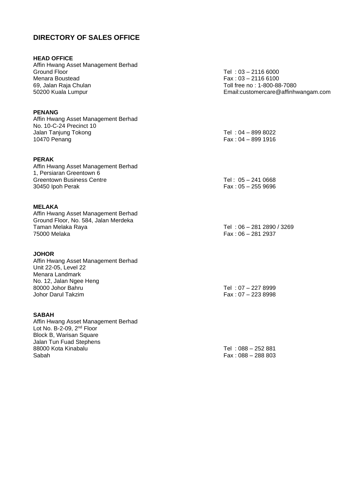## **DIRECTORY OF SALES OFFICE**

#### **HEAD OFFICE**

Affin Hwang Asset Management Berhad<br>Ground Floor Menara Boustead Fax : 03 – 2116 6100<br>
69, Jalan Raja Chulan Fax : 03 – 2116 6100

#### **PENANG**

Affin Hwang Asset Management Berhad No. 10-C-24 Precinct 10 Jalan Tanjung Tokong Tel : 04 – 899 8022<br>10470 Penang Tel : 04 – 899 1916

#### **PERAK**

Affin Hwang Asset Management Berhad 1, Persiaran Greentown 6 Greentown Business Centre Tel : 05 – 241 0668<br>
30450 Ipoh Perak<br>
Fax : 05 – 255 9696

#### **MELAKA**

Affin Hwang Asset Management Berhad Ground Floor, No. 584, Jalan Merdeka Taman Melaka Raya Tel : 06 – 281 2890 / 3269 75000 Melaka Fax : 06 – 281 2937

#### **JOHOR**

Affin Hwang Asset Management Berhad Unit 22-05, Level 22 Menara Landmark No. 12, Jalan Ngee Heng<br>80000 Johor Bahru 80000 Johor Bahru Tel : 07 – 227 8999

#### **SABAH**

Affin Hwang Asset Management Berhad Lot No. B-2-09, 2<sup>nd</sup> Floor Block B, Warisan Square Jalan Tun Fuad Stephens 88000 Kota Kinabalu Tel : 088 – 252 881 Sabah Fax : 088 – 288 803

 $Tel : 03 - 21166000$ Toll free no : 1-800-88-7080 50200 Kuala Lumpur Email:customercare@affinhwangam.com

 $Fax : 04 - 899 1916$ 

 $Fax : 05 - 255 9696$ 

 $Fax : 07 - 2238998$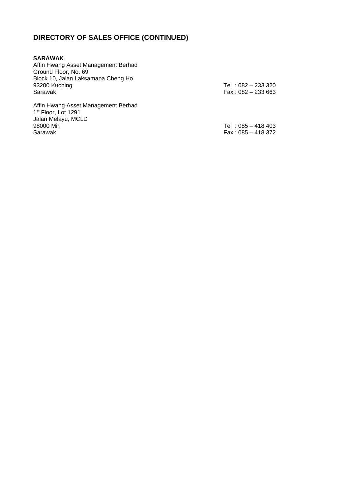# **DIRECTORY OF SALES OFFICE (CONTINUED)**

| <b>SARAWAK</b>                                                                                                        |                                           |
|-----------------------------------------------------------------------------------------------------------------------|-------------------------------------------|
| Affin Hwang Asset Management Berhad                                                                                   |                                           |
| Ground Floor, No. 69                                                                                                  |                                           |
| Block 10, Jalan Laksamana Cheng Ho                                                                                    |                                           |
| 93200 Kuching                                                                                                         | Tel: 082 – 233 320                        |
| Sarawak                                                                                                               | $Fax: 082 - 233663$                       |
| Affin Hwang Asset Management Berhad<br>1 <sup>st</sup> Floor, Lot 1291<br>Jalan Melayu, MCLD<br>98000 Miri<br>Sarawak | Tel: 085 - 418 403<br>$Fax: 085 - 418372$ |